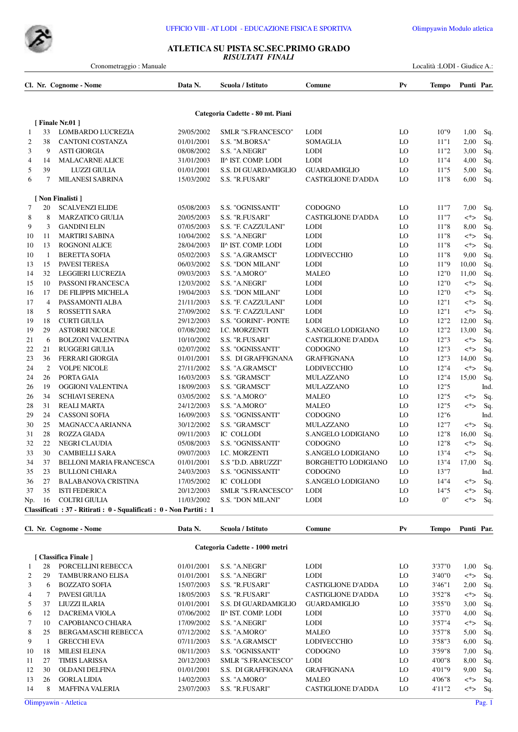



## **ATLETICA SU PISTA SC.SEC.PRIMO GRADO** *RISULTATI FINALI*

Cronometraggio : Manuale Località :LODI - Giudice A.:

|                |                | Cl. Nr. Cognome - Nome                                                | Data N.    | Scuola / Istituto                | Comune                     | $P_{V}$ | Tempo | Punti Par. |      |
|----------------|----------------|-----------------------------------------------------------------------|------------|----------------------------------|----------------------------|---------|-------|------------|------|
|                |                |                                                                       |            | Categoria Cadette - 80 mt. Piani |                            |         |       |            |      |
|                |                | [Finale Nr.01]                                                        |            |                                  |                            |         |       |            |      |
| 1              | 33             | <b>LOMBARDO LUCREZIA</b>                                              | 29/05/2002 | SMLR "S.FRANCESCO"               | <b>LODI</b>                | LO      | 10"9  | 1,00       | Sq.  |
| $\mathfrak{2}$ | 38             | <b>CANTONI COSTANZA</b>                                               | 01/01/2001 | S.S. "M.BORSA"                   | <b>SOMAGLIA</b>            | LO      | 11"1  | 2,00       | Sq.  |
| 3              | 9              | <b>ASTI GIORGIA</b>                                                   | 08/08/2002 | S.S. "A.NEGRI"                   | <b>LODI</b>                | LO      | 11"2  | 3,00       | Sq.  |
| 4              | 14             | <b>MALACARNE ALICE</b>                                                | 31/01/2003 | II^ IST. COMP. LODI              | <b>LODI</b>                | LO      | 11"4  | 4,00       | Sq.  |
| 5              | 39             | <b>LUZZI GIULIA</b>                                                   | 01/01/2001 | S.S. DI GUARDAMIGLIO             | <b>GUARDAMIGLIO</b>        | LO      | 11"5  | 5,00       | Sq.  |
| 6              | $\tau$         | <b>MILANESI SABRINA</b>                                               | 15/03/2002 | S.S. "R.FUSARI"                  | <b>CASTIGLIONE D'ADDA</b>  | LO      | 11"8  | 6,00       | Sq.  |
|                |                | [ Non Finalisti ]                                                     |            |                                  |                            |         |       |            |      |
| $\overline{7}$ | 20             | <b>SCALVENZI ELIDE</b>                                                | 05/08/2003 | S.S. "OGNISSANTI"                | <b>CODOGNO</b>             | LO      | 11"7  | 7,00       | Sq.  |
| 8              | 8              | <b>MARZATICO GIULIA</b>                                               | 20/05/2003 | S.S. "R.FUSARI"                  | <b>CASTIGLIONE D'ADDA</b>  | LO      | 11"7  | $<^*>$     | Sq.  |
| 9              | 3              | <b>GANDINI ELIN</b>                                                   | 07/05/2003 | S.S. "F. CAZZULANI"              | <b>LODI</b>                | LO      | 11"8  | 8,00       | Sq.  |
| 10             | 11             | <b>MARTIRI SABINA</b>                                                 | 10/04/2002 | S.S. "A.NEGRI"                   | <b>LODI</b>                | LO      | 11"8  | $\lt^*$    | Sq.  |
| 10             | 13             | <b>ROGNONI ALICE</b>                                                  | 28/04/2003 | II^ IST. COMP. LODI              | <b>LODI</b>                | LO      | 11"8  | $<^*>$     | Sq.  |
| 10             | -1             | <b>BERETTA SOFIA</b>                                                  | 05/02/2003 | S.S. "A.GRAMSCI"                 | LODIVECCHIO                | LO      | 11"8  | 9,00       | Sq.  |
| 13             | 15             | PAVESI TERESA                                                         | 06/03/2002 | S.S. "DON MILANI"                | <b>LODI</b>                | LO      | 11"9  | 10,00      | Sq.  |
| 14             | 32             | LEGGIERI LUCREZIA                                                     | 09/03/2003 | S.S. "A.MORO"                    | <b>MALEO</b>               | LO      | 12"0  | 11,00      | Sq.  |
| 15             | 10             | PASSONI FRANCESCA                                                     | 12/03/2002 | S.S. "A.NEGRI"                   | <b>LODI</b>                | LO      | 12"0  | $\lt^*$    | Sq.  |
| 16             | 17             | DE FILIPPIS MICHELA                                                   | 19/04/2003 | S.S. "DON MILANI"                | <b>LODI</b>                | LO      | 12"0  | $\lt^*$    | Sq.  |
| 17             | $\overline{4}$ | PASSAMONTI ALBA                                                       | 21/11/2003 | S.S. "F. CAZZULANI"              | <b>LODI</b>                | LO      | 12"1  | $<^*>$     | Sq.  |
| 18             | 5              | ROSSETTI SARA                                                         | 27/09/2002 | S.S. "F. CAZZULANI"              | <b>LODI</b>                | LO      | 12"1  | $\lt^*$    | Sq.  |
| 19             | 18             | <b>CURTI GIULIA</b>                                                   | 29/12/2003 | S.S. "GORINI"- PONTE             | <b>LODI</b>                | LO      | 12"2  | 12,00      | Sq.  |
| 19             | 29             | <b>ASTORRI NICOLE</b>                                                 | 07/08/2002 | <b>I.C. MORZENTI</b>             | S.ANGELO LODIGIANO         | LO      | 12"2  | 13,00      | Sq.  |
| 21             | 6              | <b>BOLZONI VALENTINA</b>                                              | 10/10/2002 | S.S. "R.FUSARI"                  | <b>CASTIGLIONE D'ADDA</b>  | LO      | 12"3  | $\lt^*$    | Sq.  |
| 22             | 21             | <b>RUGGERI GIULIA</b>                                                 | 02/07/2002 | S.S. "OGNISSANTI"                | <b>CODOGNO</b>             | LO      | 12"3  | $\lt^*$    | Sq.  |
| 23             | 36             | <b>FERRARI GIORGIA</b>                                                | 01/01/2001 | S.S. DI GRAFFIGNANA              | <b>GRAFFIGNANA</b>         | LO      | 12"3  | 14,00      | Sq.  |
| 24             | 2              | <b>VOLPE NICOLE</b>                                                   | 27/11/2002 | S.S. "A.GRAMSCI"                 | LODIVECCHIO                | LO      | 12"4  | $\lt^*$    | Sq.  |
| 24             | 26             | PORTA GAIA                                                            | 16/03/2003 | S.S. "GRAMSCI"                   | <b>MULAZZANO</b>           | LO      | 12"4  | 15,00      | Sq.  |
| 26             | 19             | OGGIONI VALENTINA                                                     | 18/09/2003 | S.S. "GRAMSCI"                   | MULAZZANO                  | LO      | 12"5  |            | Ind. |
| 26             | 34             | <b>SCHIAVI SERENA</b>                                                 | 03/05/2002 | S.S. "A.MORO"                    | <b>MALEO</b>               | LO      | 12"5  | $\lt^*$    | Sq.  |
| 28             | 31             | <b>REALI MARTA</b>                                                    | 24/12/2003 | S.S. "A.MORO"                    | <b>MALEO</b>               | LO      | 12"5  | $\lt^*$    | Sq.  |
| 29             | 24             | <b>CASSONI SOFIA</b>                                                  | 16/09/2003 | S.S. "OGNISSANTI"                | <b>CODOGNO</b>             | LO      | 12"6  |            | Ind. |
| 30             | 25             | MAGNACCA ARIANNA                                                      | 30/12/2002 | S.S. "GRAMSCI"                   | MULAZZANO                  | LO      | 12"7  | $\lt^*$    | Sq.  |
| 31             | 28             | <b>ROZZA GIADA</b>                                                    | 09/11/2003 | IC COLLODI                       | S.ANGELO LODIGIANO         | LO      | 12"8  | 16,00      | Sq.  |
| 32             | 22             | <b>NEGRI CLAUDIA</b>                                                  | 05/08/2003 | S.S. "OGNISSANTI"                | <b>CODOGNO</b>             | LO      | 12"8  | $\lt^*$    | Sq.  |
| 33             | 30             | <b>CAMBIELLI SARA</b>                                                 | 09/07/2003 | I.C. MORZENTI                    | S.ANGELO LODIGIANO         | LO      | 13"4  | $<^*>$     | Sq.  |
| 34             | 37             | BELLONI MARIA FRANCESCA                                               | 01/01/2001 | S.S "D.D. ABRUZZI"               | <b>BORGHETTO LODIGIANO</b> | LO      | 13"4  | 17,00      | Sq.  |
| 35             | 23             | <b>BULLONI CHIARA</b>                                                 | 24/03/2003 | S.S. "OGNISSANTI"                | <b>CODOGNO</b>             | LO      | 13"7  |            | Ind. |
| 36             | 27             | <b>BALABANOVA CRISTINA</b>                                            | 17/05/2002 | IC COLLODI                       | S.ANGELO LODIGIANO         | LO      | 14"4  | <*>        | Sq.  |
| 37             | 35             | <b>ISTI FEDERICA</b>                                                  | 20/12/2003 | SMLR "S.FRANCESCO"               | <b>LODI</b>                | LO      | 14"5  | <*>        | Sq.  |
| Np.            | 16             | <b>COLTRI GIULIA</b>                                                  | 11/03/2002 | <b>S.S. "DON MILANI"</b>         | <b>LODI</b>                | LO      | 0"    | <*>        | Sq.  |
|                |                | Classificati : 37 - Ritirati : 0 - Squalificati : 0 - Non Partiti : 1 |            |                                  |                            |         |       |            |      |

|    |    | Cl. Nr. Cognome - Nome | Data N.    | Scuola / Istituto              | Comune                    | $P_{V}$ | Tempo   | Punti Par. |     |
|----|----|------------------------|------------|--------------------------------|---------------------------|---------|---------|------------|-----|
|    |    |                        |            | Categoria Cadette - 1000 metri |                           |         |         |            |     |
|    |    | [ Classifica Finale ]  |            |                                |                           |         |         |            |     |
| 1  | 28 | PORCELLINI REBECCA     | 01/01/2001 | S.S. "A.NEGRI"                 | <b>LODI</b>               | LO      | 3'37"0  | 1,00       | Sq. |
| 2  | 29 | TAMBURRANO ELISA       | 01/01/2001 | S.S. "A.NEGRI"                 | <b>LODI</b>               | LO      | 3'40"0  | <*>        | Sq  |
| 3  | 6  | <b>BOZZATO SOFIA</b>   | 15/07/2003 | S.S. "R.FUSARI"                | <b>CASTIGLIONE D'ADDA</b> | LO      | 3'46''1 | 2,00       | Sq. |
| 4  |    | PAVESI GIULIA          | 18/05/2003 | S.S. "R.FUSARI"                | <b>CASTIGLIONE D'ADDA</b> | LO      | 3'52''8 | $\lt^*$    | Sq. |
| 5  | 37 | LIUZZI ILARIA          | 01/01/2001 | S.S. DI GUARDAMIGLIO           | <b>GUARDAMIGLIO</b>       | LO      | 3'55"0  | 3,00       | Sq. |
| 6  | 12 | <b>DACREMA VIOLA</b>   | 07/06/2002 | II^ IST. COMP. LODI            | <b>LODI</b>               | LO      | 3'57"0  | 4,00       | Sq. |
| 7  | 10 | CAPOBIANCO CHIARA      | 17/09/2002 | S.S. "A.NEGRI"                 | <b>LODI</b>               | LO      | 3'57''4 | $\lt^*$    | Sq. |
| 8  | 25 | BERGAMASCHI REBECCA    | 07/12/2002 | S.S. "A.MORO"                  | <b>MALEO</b>              | LO      | 3'57''8 | 5,00       | Sq. |
| 9  |    | <b>GRECCHI EVA</b>     | 07/11/2003 | S.S. "A.GRAMSCI"               | LODIVECCHIO               | LO      | 3'58"3  | 6,00       | Sq. |
| 10 | 18 | <b>MILESI ELENA</b>    | 08/11/2003 | <b>S.S. "OGNISSANTI"</b>       | <b>CODOGNO</b>            | LO      | 3'59"8  | 7,00       | Sq. |
| 11 | 27 | <b>TIMIS LARISSA</b>   | 20/12/2003 | <b>SMLR "S.FRANCESCO"</b>      | <b>LODI</b>               | LO      | 4'00"8  | 8,00       | Sq. |
| 12 | 30 | <b>OLDANI DELFINA</b>  | 01/01/2001 | S.S. DI GRAFFIGNANA            | <b>GRAFFIGNANA</b>        | LO      | 4'01"9  | 9,00       | Sq. |
| 13 | 26 | <b>GORLA LIDIA</b>     | 14/02/2003 | S.S. "A.MORO"                  | <b>MALEO</b>              | LO      | 4'06"8  | <*>        | -Sq |
| 14 | 8  | <b>MAFFINA VALERIA</b> | 23/07/2003 | S.S. "R.FUSARI"                | <b>CASTIGLIONE D'ADDA</b> | LO      | 4'11"2  | <*>        | Sq. |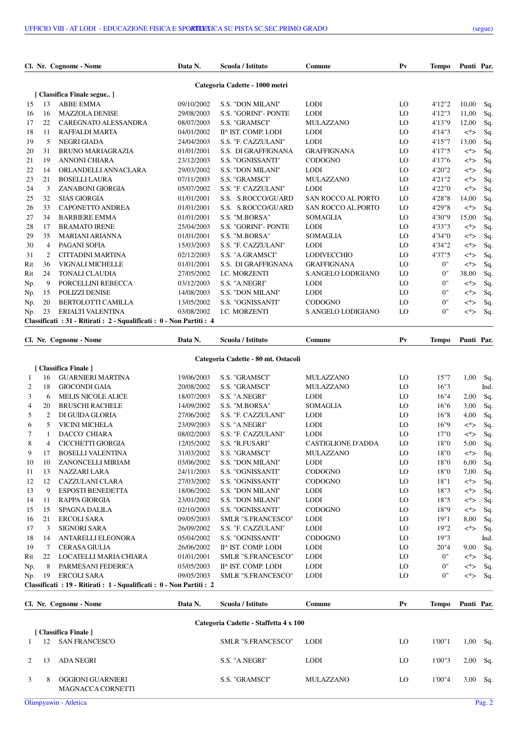|     |                | Cl. Nr. Cognome - Nome                                            | Data N.    | Scuola / Istituto              | Comune                    | $P_{V}$ | <b>Tempo</b> | Punti Par. |     |
|-----|----------------|-------------------------------------------------------------------|------------|--------------------------------|---------------------------|---------|--------------|------------|-----|
|     |                |                                                                   |            | Categoria Cadette - 1000 metri |                           |         |              |            |     |
|     |                | [ Classifica Finale segue]                                        |            |                                |                           |         |              |            |     |
| 15  | 13             | <b>ABBE EMMA</b>                                                  | 09/10/2002 | <b>S.S. "DON MILANI"</b>       | <b>LODI</b>               | LO      | 4'12"2       | 10,00      | Sq. |
| 16  | 16             | <b>MAZZOLA DENISE</b>                                             | 29/08/2003 | <b>S.S. "GORINI"- PONTE</b>    | <b>LODI</b>               | LO      | 4'12''3      | 11,00      | Sq. |
| 17  | 22             | CAREGNATO ALESSANDRA                                              | 08/07/2003 | S.S. "GRAMSCI"                 | <b>MULAZZANO</b>          | LO      | 4'13"9       | 12,00      | Sq. |
| 18  | 11             | RAFFALDI MARTA                                                    | 04/01/2002 | II^ IST. COMP. LODI            | <b>LODI</b>               | LO      | 4'14"3       | $\lt^*$    | Sq. |
| 19  | 5              | <b>NEGRI GIADA</b>                                                | 24/04/2003 | S.S. "F. CAZZULANI"            | <b>LODI</b>               | LO      | 4'15''7      | 13,00      | Sq. |
| 20  | 31             | <b>BRUNO MARIAGRAZIA</b>                                          | 01/01/2001 | S.S. DI GRAFFIGNANA            | <b>GRAFFIGNANA</b>        | LO      | 4'17"5       | $\lt^*$    | Sq. |
| 21  | 19             | <b>ANNONI CHIARA</b>                                              | 23/12/2003 | S.S. "OGNISSANTI"              | <b>CODOGNO</b>            | LO      | 4'17"6       | $\lt^*$    | Sq. |
| 22  | 14             | ORLANDELLI ANNACLARA                                              | 29/03/2002 | <b>S.S. "DON MILANI"</b>       | <b>LODI</b>               | LO      | 4'20"2       | <*>        | Sq. |
| 23  | 21             | <b>BOSELLI LAURA</b>                                              | 07/11/2003 | S.S. "GRAMSCI"                 | <b>MULAZZANO</b>          | LO      | 4'21"2       | $\lt^*$    | Sq. |
| 24  | 3              | ZANABONI GIORGIA                                                  | 05/07/2002 | S.S. "F. CAZZULANI"            | <b>LODI</b>               | LO      | 4'22"0       | $\lt^*$    | Sq. |
| 25  | 32             | <b>SIAS GIORGIA</b>                                               | 01/01/2001 | S.S. S.ROCCO/GUARD             | <b>SAN ROCCO AL PORTO</b> | LO      | 4'28"8       | 14,00      | Sq. |
| 26  | 33             | <b>CAPONETTO ANDREA</b>                                           | 01/01/2001 | S.S. S.ROCCO/GUARD             | <b>SAN ROCCO AL PORTO</b> | LO      | 4'29"8       | $\lt^*$    | Sq. |
| 27  | 34             | <b>BARBIERE EMMA</b>                                              | 01/01/2001 | S.S. "M.BORSA"                 | <b>SOMAGLIA</b>           | LO      | 4'30"9       | 15,00      | Sq. |
| 28  | 17             | <b>BRAMATO IRENE</b>                                              | 25/04/2003 | <b>S.S. "GORINI"- PONTE</b>    | <b>LODI</b>               | LO      | 4'33"3       | <*>        | Sq. |
| 29  | 35             | <b>MARIANI ARIANNA</b>                                            | 01/01/2001 | S.S. "M.BORSA"                 | <b>SOMAGLIA</b>           | LO      | 4'34"0       | $\lt^*$    | Sq. |
| 30  | $\overline{4}$ | PAGANI SOFIA                                                      | 15/03/2003 | S.S. "F. CAZZULANI"            | <b>LODI</b>               | LO      | 4'34"2       | $\lt^*$    | Sq. |
| 31  | $\overline{2}$ | CITTADINI MARTINA                                                 | 02/12/2003 | S.S. "A.GRAMSCI"               | <b>LODIVECCHIO</b>        | LO      | 4'37"5       | <*>        | Sq. |
| Rit | 36             | <b>VIGNALI MICHELLE</b>                                           | 01/01/2001 | S.S. DI GRAFFIGNANA            | <b>GRAFFIGNANA</b>        | LO      | 0"           | <*>        | Sq. |
| Rit | 24             | <b>TONALI CLAUDIA</b>                                             | 27/05/2002 | <b>I.C. MORZENTI</b>           | S.ANGELO LODIGIANO        | LO      | 0"           | 38,00      | Sq. |
| Np. | 9              | PORCELLINI REBECCA                                                | 03/12/2003 | S.S. "A.NEGRI"                 | <b>LODI</b>               | LO      | 0"           | $<^*>$     | Sq. |
| Np. | 15             | POLIZZI DENISE                                                    | 14/08/2003 | <b>S.S. "DON MILANI"</b>       | <b>LODI</b>               | LO      | 0"           | $\lt^*$    | Sq. |
| Np. | 20             | <b>BERTOLOTTI CAMILLA</b>                                         | 13/05/2002 | S.S. "OGNISSANTI"              | <b>CODOGNO</b>            | LO      | 0"           | $\lt^*$    | Sq. |
| Np. | 23             | ERIALTI VALENTINA                                                 | 03/08/2002 | <b>I.C. MORZENTI</b>           | S.ANGELO LODIGIANO        | LO      | 0"           | <*>        | Sq. |
|     |                | Classificati: 31 - Ritirati: 2 - Squalificati: 0 - Non Partiti: 4 |            |                                |                           |         |              |            |     |
|     |                |                                                                   |            |                                |                           |         |              |            |     |

|                |                | Cl. Nr. Cognome - Nome                                                | Data N.    | Scuola / Istituto                   | Comune                    | $P_{V}$ | <b>Tempo</b> | Punti Par |     |
|----------------|----------------|-----------------------------------------------------------------------|------------|-------------------------------------|---------------------------|---------|--------------|-----------|-----|
|                |                |                                                                       |            | Categoria Cadette - 80 mt. Ostacoli |                           |         |              |           |     |
|                |                | [ Classifica Finale ]                                                 |            |                                     |                           |         |              |           |     |
| -1             | 16             | <b>GUARNIERI MARTINA</b>                                              | 19/06/2003 | S.S. "GRAMSCI"                      | <b>MULAZZANO</b>          | LO      | 15"7         | 1,00      | Sq  |
| 2              | 18             | <b>GIOCONDI GAIA</b>                                                  | 20/08/2002 | S.S. "GRAMSCI"                      | <b>MULAZZANO</b>          | LO      | 16"3         |           | Ind |
| 3              | 6              | <b>MELIS NICOLE ALICE</b>                                             | 18/07/2003 | S.S. "A.NEGRI"                      | <b>LODI</b>               | LO      | 16"4         | 2,00      | Sq  |
| $\overline{4}$ | 20             | <b>BRUSCHI RACHELE</b>                                                | 14/09/2002 | S.S. "M.BORSA"                      | <b>SOMAGLIA</b>           | LO      | 16"6         | 3,00      | Sq  |
| 5              | $\overline{2}$ | DI GUIDA GLORIA                                                       | 27/06/2002 | S.S. "F. CAZZULANI"                 | <b>LODI</b>               | LO      | 16"8         | 4,00      | Sq  |
| 6              | 5              | <b>VICINI MICHELA</b>                                                 | 23/09/2003 | S.S. "A.NEGRI"                      | <b>LODI</b>               | LO      | 16"9         | $\lt^*$   | Sq  |
| 7              |                | <b>DACCO' CHIARA</b>                                                  | 08/02/2003 | S.S. "F. CAZZULANI"                 | <b>LODI</b>               | LO      | 17"0         | $\lt^*$   | Sq  |
| 8              | 4              | <b>CICCHETTI GIORGIA</b>                                              | 12/05/2002 | S.S. "R.FUSARI"                     | <b>CASTIGLIONE D'ADDA</b> | LO      | 18"0         | 5,00      | Sq  |
| 9              | 17             | <b>BOSELLI VALENTINA</b>                                              | 31/03/2002 | S.S. "GRAMSCI"                      | <b>MULAZZANO</b>          | LO      | 18"0         | $\lt^*$   | Sq  |
| 10             | 10             | ZANONCELLI MIRIAM                                                     | 03/06/2002 | <b>S.S. "DON MILANI"</b>            | <b>LODI</b>               | LO      | 18"0         | 6,00      | Sq  |
| 11             | 13             | NAZZARI LARA                                                          | 24/11/2003 | S.S. "OGNISSANTI"                   | <b>CODOGNO</b>            | LO      | 18"0         | 7,00      | Sq  |
| 12             | 12             | CAZZULANI CLARA                                                       | 27/03/2002 | S.S. "OGNISSANTI"                   | <b>CODOGNO</b>            | LO      | 18"1         | $\lt^*$   | Sq  |
| 13             | 9              | <b>ESPOSTI BENEDETTA</b>                                              | 18/06/2002 | <b>S.S. "DON MILANI"</b>            | <b>LODI</b>               | LO      | 18"3         | $\lt^*$   | Sq  |
| 14             | 11             | <b>RAPPA GIORGIA</b>                                                  | 23/01/2002 | <b>S.S. "DON MILANI"</b>            | <b>LODI</b>               | LO      | 18"5         | $\lt^*$   | Sq  |
| 15             | 15             | <b>SPAGNA DALILA</b>                                                  | 02/10/2003 | S.S. "OGNISSANTI"                   | <b>CODOGNO</b>            | LO      | 18"9         | <*>       | Sq  |
| 16             | 21             | <b>ERCOLI SARA</b>                                                    | 09/05/2003 | SMLR "S.FRANCESCO"                  | <b>LODI</b>               | LO      | 19"1         | 8,00      | Sq  |
| 17             | 3              | <b>SIGNORI SARA</b>                                                   | 26/09/2002 | S.S. "F. CAZZULANI"                 | <b>LODI</b>               | LO      | 19"2         | $\lt^*$   | Sq  |
| 18             | 14             | ANTARELLI ELEONORA                                                    | 05/04/2002 | S.S. "OGNISSANTI"                   | <b>CODOGNO</b>            | LO      | 19"3         |           | Ind |
| 19             | 7              | <b>CERASA GIULIA</b>                                                  | 26/06/2002 | II^ IST. COMP. LODI                 | <b>LODI</b>               | LO      | 20"4         | 9,00      | Sq  |
| Rit            | 22             | LOCATELLI MARIA CHIARA                                                | 01/01/2001 | <b>SMLR "S.FRANCESCO"</b>           | <b>LODI</b>               | LO      | 0"           | $\lt^*$   | Sq  |
| Np.            | 8              | PARMESANI FEDERICA                                                    | 03/05/2003 | II^ IST. COMP. LODI                 | <b>LODI</b>               | LO      | 0"           | $\lt^*$   | Sq  |
| Np.            | 19             | <b>ERCOLI SARA</b>                                                    | 09/05/2003 | SMLR "S.FRANCESCO"                  | <b>LODI</b>               | LO      | 0"           | $\lt^*$   | Sq  |
|                |                | Classificati : 19 - Ritirati : 1 - Squalificati : 0 - Non Partiti : 2 |            |                                     |                           |         |              |           |     |
|                |                |                                                                       |            |                                     |                           |         |              |           |     |
|                |                | Cl. Nr. Cognome - Nome                                                | Data N.    | Scuola / Istituto                   | Comune                    | $P_{V}$ | <b>Tempo</b> | Punti Par |     |

|             | Categoria Cadette - Staffetta 4 x 100<br>[ Classifica Finale ] |                                               |                           |             |    |        |      |     |  |  |  |  |
|-------------|----------------------------------------------------------------|-----------------------------------------------|---------------------------|-------------|----|--------|------|-----|--|--|--|--|
|             | 12                                                             | <b>SAN FRANCESCO</b>                          | <b>SMLR "S.FRANCESCO"</b> | <b>LODI</b> | LO | 1'00"1 | 1,00 | Sq. |  |  |  |  |
| $2^{\circ}$ | 13                                                             | ADA NEGRI                                     | S.S. "A.NEGRI"            | <b>LODI</b> | LO | 1'00"3 | 2,00 | Sq. |  |  |  |  |
| 3           | 8                                                              | OGGIONI GUARNIERI<br><b>MAGNACCA CORNETTI</b> | S.S. "GRAMSCI"            | MULAZZANO   | LO | 1'00"4 | 3,00 | Sq. |  |  |  |  |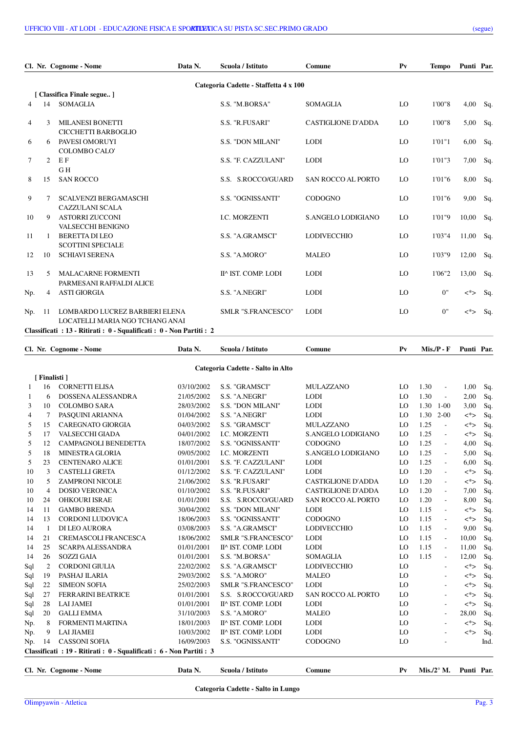|                |               | Cl. Nr. Cognome - Nome                                            | Data N. | Scuola / Istituto                     | Comune                    | $P_{V}$ | <b>Tempo</b> | Punti Par. |     |
|----------------|---------------|-------------------------------------------------------------------|---------|---------------------------------------|---------------------------|---------|--------------|------------|-----|
|                |               |                                                                   |         | Categoria Cadette - Staffetta 4 x 100 |                           |         |              |            |     |
|                |               | [ Classifica Finale segue]                                        |         |                                       |                           |         |              |            |     |
| $\overline{4}$ | 14            | <b>SOMAGLIA</b>                                                   |         | S.S. "M.BORSA"                        | <b>SOMAGLIA</b>           | LO      | 1'00"8       | 4,00       | Sq. |
| $\overline{4}$ | $\mathcal{F}$ | <b>MILANESI BONETTI</b><br>CICCHETTI BARBOGLIO                    |         | S.S. "R.FUSARI"                       | <b>CASTIGLIONE D'ADDA</b> | LO      | 1'00"8       | 5,00       | Sq. |
| 6              | 6             | PAVESI OMORUYI<br><b>COLOMBO CALO</b>                             |         | <b>S.S. "DON MILANI"</b>              | <b>LODI</b>               | LO      | 1'01''1      | 6,00       | Sq. |
| 7              | 2             | EF<br>GH                                                          |         | S.S. "F. CAZZULANI"                   | <b>LODI</b>               | LO      | 1'01"3       | 7,00       | Sq. |
| 15<br>8        |               | <b>SAN ROCCO</b>                                                  |         | S.S. S.ROCCO/GUARD                    | <b>SAN ROCCO AL PORTO</b> | LO      | 1'01"6       | 8,00       | Sq. |
| 9              | 7             | <b>SCALVENZI BERGAMASCHI</b><br><b>CAZZULANI SCALA</b>            |         | S.S. "OGNISSANTI"                     | <b>CODOGNO</b>            | LO      | 1'01"6       | 9,00       | Sq. |
| 10             | 9             | <b>ASTORRI ZUCCONI</b><br>VALSECCHI BENIGNO                       |         | <b>I.C. MORZENTI</b>                  | S.ANGELO LODIGIANO        | LO      | 1'01"9       | 10,00      | Sq. |
| 11             |               | <b>BERETTA DI LEO</b><br><b>SCOTTINI SPECIALE</b>                 |         | S.S. "A.GRAMSCI"                      | <b>LODIVECCHIO</b>        | LO      | 1'03"4       | 11,00      | Sq. |
| 12             | 10            | <b>SCHIAVI SERENA</b>                                             |         | S.S. "A.MORO"                         | <b>MALEO</b>              | LO      | 1'03"9       | 12,00      | Sq. |
| 13             | 5             | <b>MALACARNE FORMENTI</b><br>PARMESANI RAFFALDI ALICE             |         | II^ IST. COMP. LODI                   | <b>LODI</b>               | LO      | 1'06"2       | 13,00      | Sq. |
| Np.            | 4             | <b>ASTI GIORGIA</b>                                               |         | S.S. "A.NEGRI"                        | <b>LODI</b>               | LO      | 0"           | <*>        | Sq. |
| Np.<br>11      |               | LOMBARDO LUCREZ BARBIERI ELENA<br>LOCATELLI MARIA NGO TCHANG ANAI |         | <b>SMLR "S.FRANCESCO"</b>             | <b>LODI</b>               | LO      | 0"           | $\lt^*$    | Sq. |
|                |               | Classificati: 13 - Ritirati: 0 - Squalificati: 0 - Non Partiti: 2 |         |                                       |                           |         |              |            |     |

|                |                             | Data N.                                                         | Scuola / Istituto         | Comune                                                                                                     | $P_{V}$ |      |                             | Punti Par.                                                 |            |
|----------------|-----------------------------|-----------------------------------------------------------------|---------------------------|------------------------------------------------------------------------------------------------------------|---------|------|-----------------------------|------------------------------------------------------------|------------|
|                |                             |                                                                 |                           |                                                                                                            |         |      |                             |                                                            |            |
|                |                             |                                                                 |                           |                                                                                                            |         |      |                             |                                                            |            |
| 16             | <b>CORNETTI ELISA</b>       | 03/10/2002                                                      | S.S. "GRAMSCI"            | <b>MULAZZANO</b>                                                                                           | LO      | 1.30 | $\overline{\phantom{a}}$    | 1,00                                                       | Sq.        |
| 6              | DOSSENA ALESSANDRA          | 21/05/2002                                                      | S.S. "A.NEGRI"            | <b>LODI</b>                                                                                                | LO      | 1.30 | $\overline{\phantom{a}}$    | 2,00                                                       | Sq.        |
| 10             | <b>COLOMBO SARA</b>         | 28/03/2002                                                      | <b>S.S. "DON MILANI"</b>  | <b>LODI</b>                                                                                                | LO      | 1.30 |                             | 3,00                                                       | Sq.        |
| 7              | PASOUINI ARIANNA            | 01/04/2002                                                      | S.S. "A.NEGRI"            | <b>LODI</b>                                                                                                | LO      | 1.30 |                             | <*>                                                        | Sq.        |
| 15             | <b>CAREGNATO GIORGIA</b>    | 04/03/2002                                                      | S.S. "GRAMSCI"            | <b>MULAZZANO</b>                                                                                           | LO      | 1.25 | $\mathcal{L}_{\mathcal{A}}$ | $<^*>$                                                     | Sq.        |
| 17             | <b>VALSECCHI GIADA</b>      | 04/01/2002                                                      | <b>I.C. MORZENTI</b>      | S.ANGELO LODIGIANO                                                                                         | LO      | 1.25 | $\sim$                      | $\lt^*$                                                    | Sq.        |
| 12             | CAMPAGNOLI BENEDETTA        | 18/07/2002                                                      | S.S. "OGNISSANTI"         | <b>CODOGNO</b>                                                                                             | LO      | 1.25 | $\sim$                      | 4,00                                                       | Sq.        |
| 18             | <b>MINESTRA GLORIA</b>      | 09/05/2002                                                      | I.C. MORZENTI             | S.ANGELO LODIGIANO                                                                                         | LO      | 1.25 | $\overline{\phantom{a}}$    | 5,00                                                       | Sq.        |
| 23             | <b>CENTENARO ALICE</b>      | 01/01/2001                                                      | S.S. "F. CAZZULANI"       | <b>LODI</b>                                                                                                | LO      | 1.25 | $\sim$                      | 6,00                                                       | Sq.        |
| 3              | <b>CASTELLI GRETA</b>       | 01/12/2002                                                      | S.S. "F. CAZZULANI"       | <b>LODI</b>                                                                                                | LO      | 1.20 | $\overline{\phantom{a}}$    | $\lt^*$                                                    | Sq.        |
| 5              | <b>ZAMPRONI NICOLE</b>      | 21/06/2002                                                      | S.S. "R.FUSARI"           | <b>CASTIGLIONE D'ADDA</b>                                                                                  | LO      | 1.20 | $\sim$                      | <*>                                                        | Sq.        |
| $\overline{4}$ | <b>DOSIO VERONICA</b>       | 01/10/2002                                                      | S.S. "R.FUSARI"           | <b>CASTIGLIONE D'ADDA</b>                                                                                  | LO      | 1.20 | $\mathcal{L}_{\mathcal{A}}$ | 7,00                                                       | Sq.        |
| 24             | <b>OHKOURI ISRAE</b>        | 01/01/2001                                                      | S.S. S.ROCCO/GUARD        | SAN ROCCO AL PORTO                                                                                         | LO      | 1.20 | $\sim$                      | 8,00                                                       | Sq.        |
| 11             | <b>GAMBO BRENDA</b>         | 30/04/2002                                                      | S.S. "DON MILANI"         | <b>LODI</b>                                                                                                | LO      | 1.15 | $\sim$                      | $<^*>$                                                     | Sq.        |
| 13             | <b>CORDONI LUDOVICA</b>     | 18/06/2003                                                      | S.S. "OGNISSANTI"         | <b>CODOGNO</b>                                                                                             | LO      | 1.15 | $\overline{a}$              | $\lt^*$                                                    | Sq.        |
| 1              | DI LEO AURORA               | 03/08/2003                                                      | S.S. "A.GRAMSCI"          | <b>LODIVECCHIO</b>                                                                                         | LO      | 1.15 | $\mathcal{L}_{\mathcal{A}}$ | 9,00                                                       | Sq.        |
| 21             | <b>CREMASCOLI FRANCESCA</b> | 18/06/2002                                                      | <b>SMLR "S.FRANCESCO"</b> | <b>LODI</b>                                                                                                | LO      | 1.15 | $\overline{\phantom{a}}$    | 10,00                                                      | Sq.        |
| 25             | <b>SCARPA ALESSANDRA</b>    | 01/01/2001                                                      | II^ IST. COMP. LODI       | <b>LODI</b>                                                                                                | LO      | 1.15 | $\overline{\phantom{a}}$    | 11,00                                                      | Sq.        |
| 26             | <b>SOZZI GAIA</b>           | 01/01/2001                                                      | S.S. "M.BORSA"            | <b>SOMAGLIA</b>                                                                                            | LO      | 1.15 | $\overline{\phantom{a}}$    | 12,00                                                      | Sq.        |
| 2              | <b>CORDONI GIULIA</b>       | 22/02/2002                                                      | S.S. "A.GRAMSCI"          | <b>LODIVECCHIO</b>                                                                                         | LO      |      | $\sim$                      | $<^*>$                                                     | Sq.        |
| 19             | PASHAJ ILARIA               | 29/03/2002                                                      | S.S. "A.MORO"             | <b>MALEO</b>                                                                                               | LO      |      | $\overline{a}$              | $<^*>$                                                     | Sq.        |
| 22             | <b>SIMEON SOFIA</b>         | 25/02/2003                                                      | SMLR "S.FRANCESCO"        | <b>LODI</b>                                                                                                | LO      |      | ÷                           | <*>                                                        | Sq.        |
| 27             | <b>FERRARINI BEATRICE</b>   | 01/01/2001                                                      | S.S. S.ROCCO/GUARD        | SAN ROCCO AL PORTO                                                                                         | LO      |      | $\sim$                      | $<^*>$                                                     | Sq.        |
| 28             | <b>LAI JAMEI</b>            | 01/01/2001                                                      | II^ IST. COMP. LODI       | <b>LODI</b>                                                                                                | LO      |      | $\sim$                      | <*>                                                        | Sq.        |
| 20             | <b>GALLI EMMA</b>           | 31/10/2003                                                      | S.S. "A.MORO"             | <b>MALEO</b>                                                                                               | LO      |      | $\sim$                      | 28,00                                                      | Sq.        |
| 8              | FORMENTI MARTINA            | 18/01/2003                                                      | II^ IST. COMP. LODI       | <b>LODI</b>                                                                                                | LO      |      | $\overline{\phantom{a}}$    | $\lt^*$                                                    | Sq.        |
| 9              | <b>LAI JIAMEI</b>           | 10/03/2002                                                      | II^ IST. COMP. LODI       | <b>LODI</b>                                                                                                | LO      |      |                             | $<^*>$                                                     | Sq.        |
| 14             | <b>CASSONI SOFIA</b>        | 16/09/2003                                                      | S.S. "OGNISSANTI"         | <b>CODOGNO</b>                                                                                             | LO      |      |                             |                                                            | Ind.       |
|                |                             |                                                                 |                           |                                                                                                            |         |      |                             |                                                            |            |
|                |                             | Data N.                                                         | Scuola / Istituto         |                                                                                                            | $P_{V}$ |      |                             |                                                            |            |
|                |                             | Cl. Nr. Cognome - Nome<br>[Finalisti]<br>Cl. Nr. Cognome - Nome |                           | Categoria Cadette - Salto in Alto<br>Classificati : 19 - Ritirati : 0 - Squalificati : 6 - Non Partiti : 3 | Comune  |      |                             | $Mis.P - F$<br>$1 - 00$<br>$2 - 00$<br>Mis./2 $\degree$ M. | Punti Par. |

**Categoria Cadette - Salto in Lungo**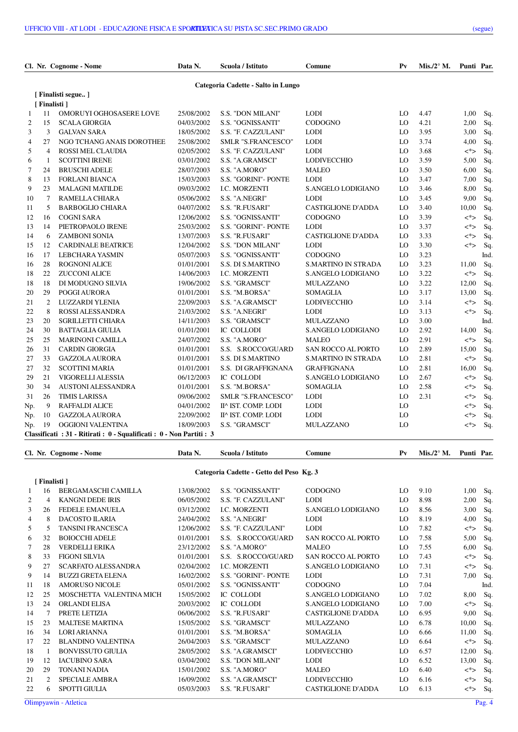|     |                | Cl. Nr. Cognome - Nome                                                | Data N.    | Scuola / Istituto                  | Comune                     | $P_{V}$ | Mis./2 $\mathrm{^{\circ}}$ M. | Punti Par. |      |
|-----|----------------|-----------------------------------------------------------------------|------------|------------------------------------|----------------------------|---------|-------------------------------|------------|------|
|     |                |                                                                       |            | Categoria Cadette - Salto in Lungo |                            |         |                               |            |      |
|     |                | [ Finalisti segue ]                                                   |            |                                    |                            |         |                               |            |      |
|     | [ Finalisti ]  |                                                                       |            |                                    |                            |         |                               |            |      |
| 1   | 11             | OMORUYI OGHOSASERE LOVE                                               | 25/08/2002 | <b>S.S. "DON MILANI"</b>           | <b>LODI</b>                | LO      | 4.47                          | 1,00       | Sq.  |
| 2   | 15             | <b>SCALA GIORGIA</b>                                                  | 04/03/2002 | S.S. "OGNISSANTI"                  | <b>CODOGNO</b>             | LO      | 4.21                          | 2,00       | Sq.  |
| 3   | 3              | <b>GALVAN SARA</b>                                                    | 18/05/2002 | S.S. "F. CAZZULANI"                | <b>LODI</b>                | LO      | 3.95                          | 3,00       | Sq.  |
| 4   | 27             | NGO TCHANG ANAIS DOROTHEE                                             | 25/08/2002 | SMLR "S.FRANCESCO"                 | <b>LODI</b>                | LO      | 3.74                          | 4,00       | Sq.  |
| 5   | $\overline{4}$ | ROSSI MEL CLAUDIA                                                     | 02/05/2002 | S.S. "F. CAZZULANI"                | <b>LODI</b>                | LO      | 3.68                          | $\lt^*$    | Sq.  |
| 6   | 1              | <b>SCOTTINI IRENE</b>                                                 | 03/01/2002 | S.S. "A.GRAMSCI"                   | <b>LODIVECCHIO</b>         | LO      | 3.59                          | 5,00       | Sq.  |
| 7   | 24             | <b>BRUSCHI ADELE</b>                                                  | 28/07/2003 | S.S. "A.MORO"                      | <b>MALEO</b>               | LO      | 3.50                          | 6,00       | Sq.  |
| 8   | 13             | <b>FORLANI BIANCA</b>                                                 | 15/03/2003 | S.S. "GORINI"- PONTE               | <b>LODI</b>                | LO      | 3.47                          | 7,00       | Sq.  |
| 9   | 23             | <b>MALAGNI MATILDE</b>                                                | 09/03/2002 | I.C. MORZENTI                      | S.ANGELO LODIGIANO         | LO      | 3.46                          | 8,00       | Sq.  |
| 10  | 7              | RAMELLA CHIARA                                                        | 05/06/2002 | S.S. "A.NEGRI"                     | <b>LODI</b>                | LO      | 3.45                          | 9,00       | Sq.  |
| 11  | 5              | <b>BARBOGLIO CHIARA</b>                                               | 04/07/2002 | S.S. "R.FUSARI"                    | <b>CASTIGLIONE D'ADDA</b>  | LO      | 3.40                          | 10,00      | Sq.  |
| 12  | 16             | <b>COGNI SARA</b>                                                     | 12/06/2002 | S.S. "OGNISSANTI"                  | <b>CODOGNO</b>             | LO      | 3.39                          | $\lt^*$    | Sq.  |
| 13  | 14             | PIETROPAOLO IRENE                                                     | 25/03/2002 | S.S. "GORINI"- PONTE               | <b>LODI</b>                | LO      | 3.37                          | <*>        | Sq.  |
| 14  | 6              | <b>ZAMBONI SONIA</b>                                                  | 13/07/2003 | S.S. "R.FUSARI"                    | <b>CASTIGLIONE D'ADDA</b>  | LO      | 3.33                          | $<^*>$     | Sq.  |
| 15  | 12             | <b>CARDINALE BEATRICE</b>                                             | 12/04/2002 | <b>S.S. "DON MILANI"</b>           | <b>LODI</b>                | LO      | 3.30                          | <*>        | Sq.  |
| 16  | 17             | LEBCHARA YASMIN                                                       | 05/07/2003 | S.S. "OGNISSANTI"                  | <b>CODOGNO</b>             | LO      | 3.23                          |            | Ind. |
| 16  | 28             | <b>ROGNONI ALICE</b>                                                  | 01/01/2001 | S.S. DI S.MARTINO                  | <b>S.MARTINO IN STRADA</b> | LO      | 3.23                          | 11,00      | Sq.  |
| 18  | 22             | <b>ZUCCONI ALICE</b>                                                  | 14/06/2003 | <b>I.C. MORZENTI</b>               | S.ANGELO LODIGIANO         | LO      | 3.22                          | $<^*>$     | Sq.  |
| 18  | 18             | DI MODUGNO SILVIA                                                     | 19/06/2002 | S.S. "GRAMSCI"                     | <b>MULAZZANO</b>           | LO      | 3.22                          | 12,00      | Sq.  |
| 20  | 29             | POGGI AURORA                                                          | 01/01/2001 | S.S. "M.BORSA"                     | SOMAGLIA                   | LO      | 3.17                          | 13,00      | Sq.  |
| 21  | 2              | LUZZARDI YLENIA                                                       | 22/09/2003 | S.S. "A.GRAMSCI"                   | <b>LODIVECCHIO</b>         | LO      | 3.14                          | <*>        | Sq.  |
| 22  | 8              | ROSSI ALESSANDRA                                                      | 21/03/2002 | S.S. "A.NEGRI"                     | <b>LODI</b>                | LO      | 3.13                          | <*>        | Sq.  |
| 23  | 20             | <b>SGRILLETTI CHIARA</b>                                              | 14/11/2003 | S.S. "GRAMSCI"                     | MULAZZANO                  | LO      | 3.00                          |            | Ind. |
| 24  | 30             | <b>BATTAGLIA GIULIA</b>                                               | 01/01/2001 | <b>IC COLLODI</b>                  | S.ANGELO LODIGIANO         | LO      | 2.92                          | 14,00      | Sq.  |
| 25  | 25             | <b>MARINONI CAMILLA</b>                                               | 24/07/2002 | S.S. "A.MORO"                      | MALEO                      | LO      | 2.91                          | <*>        | Sq.  |
| 26  | 31             | <b>CARDIN GIORGIA</b>                                                 | 01/01/2001 | S.S. S.ROCCO/GUARD                 | <b>SAN ROCCO AL PORTO</b>  | LO      | 2.89                          | 15,00      | Sq.  |
| 27  | 33             | <b>GAZZOLA AURORA</b>                                                 | 01/01/2001 | S.S. DI S.MARTINO                  | <b>S.MARTINO IN STRADA</b> | LO      | 2.81                          | $\lt^*$    | Sq.  |
| 27  | 32             | <b>SCOTTINI MARIA</b>                                                 | 01/01/2001 | S.S. DI GRAFFIGNANA                | <b>GRAFFIGNANA</b>         | LO      | 2.81                          | 16,00      | Sq.  |
| 29  | 21             | VIGORELLI ALESSIA                                                     | 06/12/2003 | <b>IC COLLODI</b>                  | S.ANGELO LODIGIANO         | LO      | 2.67                          | $\lt^*$    | Sq.  |
| 30  | 34             | AUSTONI ALESSANDRA                                                    | 01/01/2001 | S.S. "M.BORSA"                     | SOMAGLIA                   | LO      | 2.58                          | $\lt^*$    | Sq.  |
| 31  | 26             | <b>TIMIS LARISSA</b>                                                  | 09/06/2002 | <b>SMLR "S.FRANCESCO"</b>          | <b>LODI</b>                | LO      | 2.31                          | <*>        | Sq.  |
| Np. | 9              | RAFFALDI ALICE                                                        | 04/01/2002 | II^ IST. COMP. LODI                | <b>LODI</b>                | LO      |                               | <*>        | Sq.  |
| Np. | 10             | <b>GAZZOLA AURORA</b>                                                 | 22/09/2002 | II^ IST. COMP. LODI                | <b>LODI</b>                | LO      |                               | <*>        | Sq.  |
| Np. | 19             | OGGIONI VALENTINA                                                     | 18/09/2003 | S.S. "GRAMSCI"                     | MULAZZANO                  | LO      |                               | <*>        | Sq.  |
|     |                | Classificati : 31 - Ritirati : 0 - Squalificati : 0 - Non Partiti : 3 |            |                                    |                            |         |                               |            |      |

 **[ Finalisti ]**

**Categoria Cadette - Getto del Peso Kg. 3**

**Cl. Nr. Cognome - Nome Data N. Scuola / Istituto Comune Pv Mis./2° M. Punti Par.**

|    | 16             | BERGAMASCHI CAMILLA        | 13/08/2002 | S.S. "OGNISSANTI"        | <b>CODOGNO</b>            | LO. | 9.10 | 1,00     | Sq. |
|----|----------------|----------------------------|------------|--------------------------|---------------------------|-----|------|----------|-----|
| 2  | $\overline{4}$ | <b>KANGNI DEDE IRIS</b>    | 06/05/2002 | S.S. "F. CAZZULANI"      | <b>LODI</b>               | LO  | 8.98 | 2,00     | Sq. |
| 3  | 26             | <b>FEDELE EMANUELA</b>     | 03/12/2002 | <b>I.C. MORZENTI</b>     | S.ANGELO LODIGIANO        | LO  | 8.56 | 3,00     | Sq. |
| 4  | 8              | <b>DACOSTO ILARIA</b>      | 24/04/2002 | S.S. "A.NEGRI"           | <b>LODI</b>               | LO  | 8.19 | 4,00     | Sq. |
| 5  | 5              | <b>TANSINI FRANCESCA</b>   | 12/06/2002 | S.S. "F. CAZZULANI"      | <b>LODI</b>               | LO  | 7.82 | $\lt^*$  | Sq. |
| 6  | 32             | <b>BOIOCCHI ADELE</b>      | 01/01/2001 | S.S. S.ROCCO/GUARD       | SAN ROCCO AL PORTO        | LO  | 7.58 | 5,00 Sq. |     |
| 7  | 28             | <b>VERDELLI ERIKA</b>      | 23/12/2002 | S.S. "A.MORO"            | MALEO                     | LO  | 7.55 | 6,00     | Sq. |
| 8  | 33             | <b>FIGONI SILVIA</b>       | 01/01/2001 | S.S. S.ROCCO/GUARD       | SAN ROCCO AL PORTO        | LO  | 7.43 | <*>      | Sq. |
| 9  | 27             | <b>SCARFATO ALESSANDRA</b> | 02/04/2002 | <b>I.C. MORZENTI</b>     | S.ANGELO LODIGIANO        | LO  | 7.31 | <*>      | Sq. |
| 9  | 14             | <b>BUZZI GRETA ELENA</b>   | 16/02/2002 | S.S. "GORINI"- PONTE     | <b>LODI</b>               | LO  | 7.31 | 7,00     | Sq. |
| 11 | 18             | <b>AMORUSO NICOLE</b>      | 05/01/2002 | S.S. "OGNISSANTI"        | <b>CODOGNO</b>            | LO  | 7.04 |          | Ind |
| 12 | 25             | MOSCHETTA VALENTINA MICH   | 15/05/2002 | <b>IC COLLODI</b>        | S.ANGELO LODIGIANO        | LO  | 7.02 | 8,00     | Sq. |
| 13 | 24             | <b>ORLANDI ELISA</b>       | 20/03/2002 | IC COLLODI               | S.ANGELO LODIGIANO        | LO  | 7.00 | <*>      | Sq. |
| 14 |                | PRETE LETIZIA              | 06/06/2002 | S.S. "R.FUSARI"          | <b>CASTIGLIONE D'ADDA</b> | LO  | 6.95 | 9,00     | Sq. |
| 15 | 23             | <b>MALTESE MARTINA</b>     | 15/05/2002 | S.S. "GRAMSCI"           | <b>MULAZZANO</b>          | LO  | 6.78 | 10,00    | Sq. |
| 16 | 34             | <b>LORI ARIANNA</b>        | 01/01/2001 | S.S. "M.BORSA"           | <b>SOMAGLIA</b>           | LO  | 6.66 | 11,00    | Sq. |
| 17 | 22             | <b>BLANDINO VALENTINA</b>  | 26/04/2003 | S.S. "GRAMSCI"           | <b>MULAZZANO</b>          | LO. | 6.64 | $\lt^*$  | Sq. |
| 18 |                | <b>BONVISSUTO GIULIA</b>   | 28/05/2002 | S.S. "A.GRAMSCI"         | <b>LODIVECCHIO</b>        | LO  | 6.57 | 12,00    | Sq. |
| 19 | 12             | <b>IACUBINO SARA</b>       | 03/04/2002 | <b>S.S. "DON MILANI"</b> | <b>LODI</b>               | LO  | 6.52 | 13,00    | Sq. |
| 20 | 29             | <b>TONANI NADIA</b>        | 15/01/2002 | S.S. "A.MORO"            | MALEO                     | LO  | 6.40 | <*>      | Sq. |
| 21 | $\overline{c}$ | <b>SPECIALE AMBRA</b>      | 16/09/2002 | S.S. "A.GRAMSCI"         | <b>LODIVECCHIO</b>        | LO  | 6.16 | <*>      | Sq. |
| 22 | 6              | <b>SPOTTI GIULIA</b>       | 05/03/2003 | S.S. "R.FUSARI"          | <b>CASTIGLIONE D'ADDA</b> | LO  | 6.13 | <*>      | Sq. |
|    |                |                            |            |                          |                           |     |      |          |     |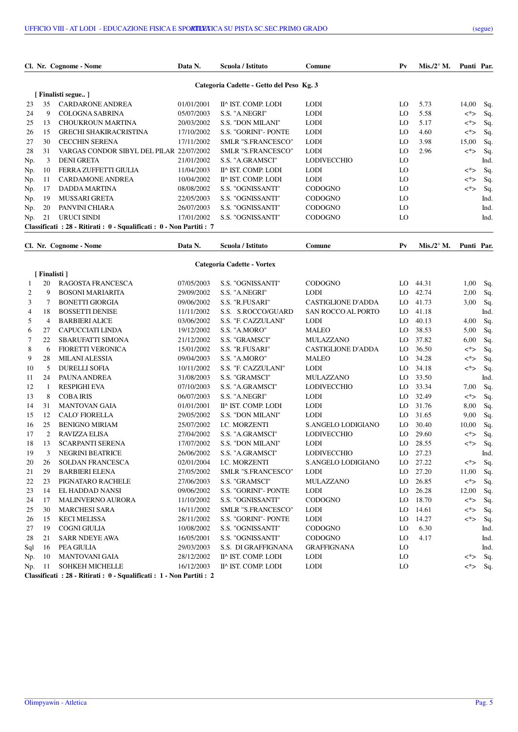|     |    | Cl. Nr. Cognome - Nome                                            | Data N.    | Scuola / Istituto                        | Comune             | $P_{V}$ | Mis./2 $\degree$ M. | Punti Par. |      |
|-----|----|-------------------------------------------------------------------|------------|------------------------------------------|--------------------|---------|---------------------|------------|------|
|     |    |                                                                   |            | Categoria Cadette - Getto del Peso Kg. 3 |                    |         |                     |            |      |
|     |    | Finalisti segue                                                   |            |                                          |                    |         |                     |            |      |
| 23  | 35 | <b>CARDARONE ANDREA</b>                                           | 01/01/2001 | II^ IST. COMP. LODI                      | <b>LODI</b>        | LO.     | 5.73                | 14,00      | Sq.  |
| 24  | 9  | <b>COLOGNA SABRINA</b>                                            | 05/07/2003 | S.S. "A.NEGRI"                           | <b>LODI</b>        | LO      | 5.58                | $\lt^*$    | Sq.  |
| 25  | 13 | <b>CHOUKROUN MARTINA</b>                                          | 20/03/2002 | <b>S.S. "DON MILANI"</b>                 | <b>LODI</b>        | LO.     | 5.17                | <*>        | Sq.  |
| 26  | 15 | <b>GRECHI SHAKIRACRISTINA</b>                                     | 17/10/2002 | S.S. "GORINI"- PONTE                     | <b>LODI</b>        | LO      | 4.60                | <*>        | Sq.  |
| 27  | 30 | <b>CECCHIN SERENA</b>                                             | 17/11/2002 | <b>SMLR "S.FRANCESCO"</b>                | <b>LODI</b>        | LO      | 3.98                | 15,00      | Sq.  |
| 28  | 31 | VARGAS CONDOR SIBYL DEL PILAR 22/07/2002                          |            | <b>SMLR "S.FRANCESCO"</b>                | <b>LODI</b>        | LO      | 2.96                | $\lt^*$    | Sq.  |
| Np. | 3  | <b>DENI GRETA</b>                                                 | 21/01/2002 | S.S. "A.GRAMSCI"                         | <b>LODIVECCHIO</b> | LO      |                     |            | Ind  |
| Np. | 10 | FERRA ZUFFETTI GIULIA                                             | 11/04/2003 | II^ IST. COMP. LODI                      | <b>LODI</b>        | LO.     |                     | <*>        | Sq.  |
| Np. | 11 | <b>CARDAMONE ANDREA</b>                                           | 10/04/2002 | II^ IST. COMP. LODI                      | <b>LODI</b>        | LO      |                     | <*>        | Sq.  |
| Np. | 17 | DADDA MARTINA                                                     | 08/08/2002 | S.S. "OGNISSANTI"                        | <b>CODOGNO</b>     | LO      |                     | $\lt^*$    | Sq.  |
| Np. | 19 | <b>MUSSARI GRETA</b>                                              | 22/05/2003 | S.S. "OGNISSANTI"                        | <b>CODOGNO</b>     | LO.     |                     |            | Ind  |
| Np. | 20 | PANVINI CHIARA                                                    | 26/07/2003 | <b>S.S. "OGNISSANTI"</b>                 | <b>CODOGNO</b>     | LO.     |                     |            | Ind. |
| Np. | 21 | URUCI SINDI                                                       | 17/01/2002 | S.S. "OGNISSANTI"                        | <b>CODOGNO</b>     | LO      |                     |            | Ind. |
|     |    | Classificati: 28 - Ritirati: 0 - Squalificati: 0 - Non Partiti: 7 |            |                                          |                    |         |                     |            |      |
|     |    | Cl. Nr. Cognome - Nome                                            | Data N.    | Scuola / Istituto                        | Comune             | $P_{V}$ | Mis./2 $\degree$ M. | Punti Par. |      |

**Categoria Cadette - Vortex**

|                | [Finalisti]    |                                                                                              |            |                             |                           |     |       |         |      |
|----------------|----------------|----------------------------------------------------------------------------------------------|------------|-----------------------------|---------------------------|-----|-------|---------|------|
| 1              | 20             | RAGOSTA FRANCESCA                                                                            | 07/05/2003 | S.S. "OGNISSANTI"           | <b>CODOGNO</b>            | LO. | 44.31 | 1,00    | Sq.  |
| 2              | 9              | <b>BOSONI MARIARITA</b>                                                                      | 29/09/2002 | S.S. "A.NEGRI"              | <b>LODI</b>               | LO. | 42.74 | 2,00    | Sq.  |
| 3              | 7              | <b>BONETTI GIORGIA</b>                                                                       | 09/06/2002 | S.S. "R.FUSARI"             | <b>CASTIGLIONE D'ADDA</b> | LO. | 41.73 | 3,00    | Sq.  |
| $\overline{4}$ | 18             | <b>BOSSETTI DENISE</b>                                                                       | 11/11/2002 | S.S. S.ROCCO/GUARD          | <b>SAN ROCCO AL PORTO</b> | LO. | 41.18 |         | Ind. |
| 5              | $\overline{4}$ | <b>BARBIERI ALICE</b>                                                                        | 03/06/2002 | S.S. "F. CAZZULANI"         | <b>LODI</b>               | LO. | 40.13 | 4,00    | Sq.  |
| 6              | 27             | CAPUCCIATI LINDA                                                                             | 19/12/2002 | S.S. "A.MORO"               | <b>MALEO</b>              | LO  | 38.53 | 5,00    | Sq.  |
| 7              | 22             | <b>SBARUFATTI SIMONA</b>                                                                     | 21/12/2002 | S.S. "GRAMSCI"              | <b>MULAZZANO</b>          | LO. | 37.82 | 6,00    | Sq.  |
| 8              | 6              | <b>FIORETTI VERONICA</b>                                                                     | 15/01/2002 | S.S. "R.FUSARI"             | <b>CASTIGLIONE D'ADDA</b> | LO  | 36.50 | <*>     | Sq.  |
| 9              | 28             | <b>MILANI ALESSIA</b>                                                                        | 09/04/2003 | S.S. "A.MORO"               | <b>MALEO</b>              | LO. | 34.28 | <*>     | Sq.  |
| 10             | 5              | <b>DURELLI SOFIA</b>                                                                         | 10/11/2002 | S.S. "F. CAZZULANI"         | <b>LODI</b>               | LO  | 34.18 | <*>     | Sq.  |
| 11             | 24             | PAUNA ANDREA                                                                                 | 31/08/2003 | S.S. "GRAMSCI"              | MULAZZANO                 | LO  | 33.50 |         | Ind. |
| 12             | $\overline{1}$ | <b>RESPIGHI EVA</b>                                                                          | 07/10/2003 | S.S. "A.GRAMSCI"            | <b>LODIVECCHIO</b>        | LO. | 33.34 | 7,00    | Sq.  |
| 13             | 8              | <b>COBAIRIS</b>                                                                              | 06/07/2003 | S.S. "A.NEGRI"              | <b>LODI</b>               | LO. | 32.49 | <*>     | Sq.  |
| 14             | 31             | <b>MANTOVAN GAIA</b>                                                                         | 01/01/2001 | II^ IST. COMP. LODI         | <b>LODI</b>               | LO. | 31.76 | 8,00    | Sq.  |
| 15             | 12             | <b>CALO' FIORELLA</b>                                                                        | 29/05/2002 | S.S. "DON MILANI"           | <b>LODI</b>               | LO  | 31.65 | 9,00    | Sq.  |
| 16             | 25             | <b>BENIGNO MIRIAM</b>                                                                        | 25/07/2002 | I.C. MORZENTI               | S.ANGELO LODIGIANO        | LO  | 30.40 | 10,00   | Sq.  |
| 17             | $\overline{2}$ | <b>RAVIZZA ELISA</b>                                                                         | 27/04/2002 | S.S. "A.GRAMSCI"            | <b>LODIVECCHIO</b>        | LO  | 29.60 | $\lt^*$ | Sq.  |
| 18             | 13             | <b>SCARPANTI SERENA</b>                                                                      | 17/07/2002 | <b>S.S. "DON MILANI"</b>    | <b>LODI</b>               | LO  | 28.55 | <*>     | Sq.  |
| 19             | 3              | <b>NEGRINI BEATRICE</b>                                                                      | 26/06/2002 | S.S. "A.GRAMSCI"            | <b>LODIVECCHIO</b>        | LO. | 27.23 |         | Ind. |
| 20             | 26             | <b>SOLDAN FRANCESCA</b>                                                                      | 02/01/2004 | <b>I.C. MORZENTI</b>        | S.ANGELO LODIGIANO        | LO  | 27.22 | $\lt^*$ | Sq.  |
| 21             | 29             | <b>BARBIERI ELENA</b>                                                                        | 27/05/2002 | <b>SMLR "S.FRANCESCO"</b>   | <b>LODI</b>               | LO. | 27.20 | 11,00   | Sq.  |
| 22             | 23             | PIGNATARO RACHELE                                                                            | 27/06/2003 | S.S. "GRAMSCI"              | <b>MULAZZANO</b>          | LO. | 26.85 | $\lt^*$ | Sq.  |
| 23             | 14             | EL HADDAD NANSI                                                                              | 09/06/2002 | S.S. "GORINI"- PONTE        | <b>LODI</b>               | LO  | 26.28 | 12,00   | Sq.  |
| 24             | 17             | <b>MALINVERNO AURORA</b>                                                                     | 11/10/2002 | S.S. "OGNISSANTI"           | CODOGNO                   | LO  | 18.70 | $\lt^*$ | Sq.  |
| 25             | 30             | <b>MARCHESI SARA</b>                                                                         | 16/11/2002 | <b>SMLR "S.FRANCESCO"</b>   | <b>LODI</b>               | LO  | 14.61 | $\lt^*$ | Sq.  |
| 26             | 15             | <b>KECI MELISSA</b>                                                                          | 28/11/2002 | <b>S.S. "GORINI"- PONTE</b> | <b>LODI</b>               | LO  | 14.27 | $\lt^*$ | Sq.  |
| 27             | 19             | <b>COGNI GIULIA</b>                                                                          | 10/08/2002 | S.S. "OGNISSANTI"           | <b>CODOGNO</b>            | LO  | 6.30  |         | Ind. |
| 28             | 21             | <b>SARR NDEYE AWA</b>                                                                        | 16/05/2001 | S.S. "OGNISSANTI"           | <b>CODOGNO</b>            | LO  | 4.17  |         | Ind. |
| Sql            | 16             | PEA GIULIA                                                                                   | 29/03/2003 | S.S. DI GRAFFIGNANA         | <b>GRAFFIGNANA</b>        | LO  |       |         | Ind. |
| Np.            | 10             | <b>MANTOVANI GAIA</b>                                                                        | 28/12/2002 | II^ IST. COMP. LODI         | <b>LODI</b>               | LO  |       | $\lt^*$ | Sq.  |
| Np.            | -11            | <b>SOHKEH MICHELLE</b>                                                                       | 16/12/2003 | II^ IST. COMP. LODI         | <b>LODI</b>               | LO  |       | <*>     | Sq.  |
|                |                | $\Box$ ossificati $\cdot$ 28 Ditinati $\cdot$ 0 Causlificati $\cdot$ 1 Non-Dantiti $\cdot$ 2 |            |                             |                           |     |       |         |      |

**Classificati : 28 - Ritirati : 0 - Squalificati : 1 - Non Partiti : 2**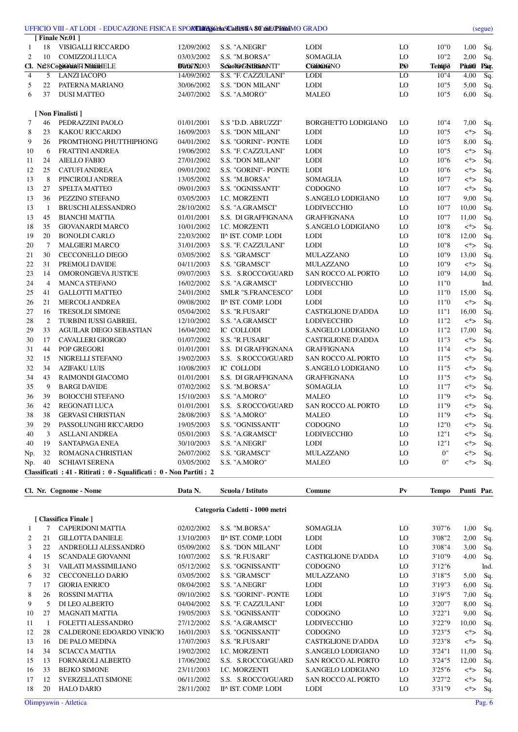|                |                 | UFFICIO VIII - AT LODI - EDUCAZIONE FISICA E SPOR <b>THEEGGHASCAHEITA 80 mECHRaI</b> MO GRADO |                          |                                                 |                            |                       |               |                          | (segue)                  |
|----------------|-----------------|-----------------------------------------------------------------------------------------------|--------------------------|-------------------------------------------------|----------------------------|-----------------------|---------------|--------------------------|--------------------------|
|                |                 | [Finale Nr.01]                                                                                |                          |                                                 |                            |                       |               |                          |                          |
| 1              | 18              | VISIGALLI RICCARDO                                                                            | 12/09/2002               | S.S. "A.NEGRI"                                  | <b>LODI</b>                | LO                    | 10"0          | 1,00                     | Sq.                      |
| $\overline{2}$ | 10              | COMIZZOLI LUCA                                                                                | 03/03/2002               | S.S. "M.BORSA"                                  | <b>SOMAGLIA</b>            | LO                    | 10"2          | 2,00                     | Sq.                      |
| $\overline{4}$ |                 | Cl. N28CogioMANTI NHOHELE<br><b>LANZI IACOPO</b>                                              | <b>DE/G7 N</b> 003       | Schol@GIstRhteNTI"                              | <b>CODOGNO</b>             | <b>P</b> <sup>©</sup> | <b>Tehopo</b> | Ph,00                    | PSq.                     |
| 5              | 5<br>22         | PATERNA MARIANO                                                                               | 14/09/2002               | S.S. "F. CAZZULANI"<br><b>S.S. "DON MILANI"</b> | <b>LODI</b><br><b>LODI</b> | LO<br>LO              | 10"4          | 4,00<br>5,00             | $\overline{Sq}$ .        |
| 6              | 37              | <b>DUSI MATTEO</b>                                                                            | 30/06/2002<br>24/07/2002 | S.S. "A.MORO"                                   | <b>MALEO</b>               | LO                    | 10"5<br>10"5  | 6,00                     | Sq.<br>Sq.               |
|                |                 |                                                                                               |                          |                                                 |                            |                       |               |                          |                          |
|                |                 | [ Non Finalisti ]                                                                             |                          |                                                 |                            |                       |               |                          |                          |
| 7              | 46              | PEDRAZZINI PAOLO                                                                              | 01/01/2001               | S.S "D.D. ABRUZZI"                              | <b>BORGHETTO LODIGIANO</b> | LO                    | 10"4          | 7,00                     | Sq.                      |
| 8              | 23              | KAKOU RICCARDO                                                                                | 16/09/2003               | S.S. "DON MILANI"                               | <b>LODI</b>                | LO                    | 10"5          | <*>                      | Sq.                      |
| 9              | 26              | PROMTHONG PHUTTHIPHONG                                                                        | 04/01/2002               | S.S. "GORINI"- PONTE                            | <b>LODI</b>                | LO                    | 10"5          | 8,00                     | Sq.                      |
| 10             | 6               | <b>FRATTINI ANDREA</b>                                                                        | 19/06/2002               | S.S. "F. CAZZULANI"                             | <b>LODI</b>                | LO                    | 10"5          | <*>                      | Sq.                      |
| 11             | 24              | <b>AIELLO FABIO</b>                                                                           | 27/01/2002               | S.S. "DON MILANI"                               | <b>LODI</b>                | LO                    | 10"6          | <*>                      | Sq.                      |
| 12             | 25              | <b>CATUFI ANDREA</b>                                                                          | 09/01/2002               | S.S. "GORINI"- PONTE                            | <b>LODI</b>                | LO                    | 10"6          | <*>                      | Sq.                      |
| 13             | 8               | PINCIROLI ANDREA                                                                              | 13/05/2002               | S.S. "M.BORSA"                                  | SOMAGLIA                   | LO                    | 10"7          | <*>                      | Sq.                      |
| 13             | 27              | <b>SPELTA MATTEO</b>                                                                          | 09/01/2003               | S.S. "OGNISSANTI"                               | <b>CODOGNO</b>             | LO                    | 10"7          | <*>                      | Sq.                      |
| 13             | 36              | PEZZINO STEFANO                                                                               | 03/05/2003               | I.C. MORZENTI                                   | S.ANGELO LODIGIANO         | LO                    | 10"7          | 9,00                     | Sq.                      |
| 13             | $\mathbf{1}$    | <b>BRUSCHI ALESSANDRO</b>                                                                     | 28/10/2002               | S.S. "A.GRAMSCI"                                | <b>LODIVECCHIO</b>         | LO                    | 10"7          | 10,00                    | Sq.                      |
| 13             | 45              | <b>BIANCHI MATTIA</b>                                                                         | 01/01/2001               | S.S. DI GRAFFIGNANA                             | <b>GRAFFIGNANA</b>         | LO                    | 10"7          | 11,00                    | Sq.                      |
| 18             | 35              | <b>GIOVANARDI MARCO</b>                                                                       | 10/01/2002               | I.C. MORZENTI                                   | S.ANGELO LODIGIANO         | LO                    | 10"8          | <*>                      | Sq.                      |
| 19             | 20              | <b>BONOLDI CARLO</b>                                                                          | 22/03/2002               | II^ IST. COMP. LODI                             | <b>LODI</b>                | LO                    | 10"8          | 12,00                    | Sq.                      |
| 20             | $7\phantom{.0}$ | <b>MALGIERI MARCO</b>                                                                         | 31/01/2003               | S.S. "F. CAZZULANI"                             | <b>LODI</b>                | LO                    | 10"8          | <*>                      | Sq.                      |
| 21             | 30              | <b>CECCONELLO DIEGO</b>                                                                       | 03/05/2002               | S.S. "GRAMSCI"                                  | MULAZZANO                  | LO                    | 10"9          | 13,00                    | Sq.                      |
| 22<br>23       | 31<br>14        | PREMOLI DAVIDE<br>OMORONGIEVA JUSTICE                                                         | 04/11/2003<br>09/07/2003 | S.S. "GRAMSCI"                                  | <b>MULAZZANO</b>           | LO<br>LO              | 10"9<br>10"9  | <*><br>14,00             | Sq.                      |
| 24             | $\overline{4}$  | <b>MANCA STEFANO</b>                                                                          | 16/02/2002               | S.S. S.ROCCO/GUARD                              | <b>SAN ROCCO AL PORTO</b>  | LO                    | 11"0          |                          | Sq.<br>Ind.              |
| 25             | 41              | <b>GALLOTTI MATTEO</b>                                                                        | 24/01/2002               | S.S. "A.GRAMSCI"<br>SMLR "S.FRANCESCO"          | LODIVECCHIO<br><b>LODI</b> | LO                    | 11"0          | 15,00                    | Sq.                      |
| 26             | 21              | <b>MERCOLI ANDREA</b>                                                                         | 09/08/2002               | II^ IST. COMP. LODI                             | <b>LODI</b>                | LO                    | 11"0          | <*>                      | Sq.                      |
| 27             | 16              | <b>TRESOLDI SIMONE</b>                                                                        | 05/04/2002               | S.S. "R.FUSARI"                                 | <b>CASTIGLIONE D'ADDA</b>  | LO                    | 11"1          | 16,00                    | Sq.                      |
| 28             | 2               | <b>TURBINI IUSSI GABRIEL</b>                                                                  | 12/10/2002               | S.S. "A.GRAMSCI"                                | <b>LODIVECCHIO</b>         | LO                    | 11"2          | <*>                      | Sq.                      |
| 29             | 33              | AGUILAR DIEGO SEBASTIAN                                                                       | 16/04/2002               | IC COLLODI                                      | S.ANGELO LODIGIANO         | LO                    | 11"2          | 17,00                    | Sq.                      |
| 30             | 17              | <b>CAVALLERI GIORGIO</b>                                                                      | 01/07/2002               | S.S. "R.FUSARI"                                 | <b>CASTIGLIONE D'ADDA</b>  | LO                    | 11"3          | $<^*>$                   | Sq                       |
| 31             | 44              | POP GREGORI                                                                                   | 01/01/2001               | S.S. DI GRAFFIGNANA                             | <b>GRAFFIGNANA</b>         | LO                    | 11"4          | <*>                      | Sq.                      |
| 32             | 15              | NIGRELLI STEFANO                                                                              | 19/02/2003               | S.S. S.ROCCO/GUARD                              | <b>SAN ROCCO AL PORTO</b>  | LO                    | 11"5          | <*>                      | Sq.                      |
| 32             | 34              | <b>AZIFAKU LUIS</b>                                                                           | 10/08/2003               | IC COLLODI                                      | S.ANGELO LODIGIANO         | LO                    | 11"5          | <*>                      | Sq.                      |
| 34             | 43              | RAIMONDI GIACOMO                                                                              | 01/01/2001               | S.S. DI GRAFFIGNANA                             | <b>GRAFFIGNANA</b>         | LO                    | 11"5          | <*>                      | Sq.                      |
| 35             | 9               | <b>BARGI DAVIDE</b>                                                                           | 07/02/2002               | S.S. "M.BORSA"                                  | SOMAGLIA                   | LO                    | 11"7          | <*>                      | Sq.                      |
| 36             | 39              | <b>BOIOCCHI STEFANO</b>                                                                       | 15/10/2003               | S.S. "A.MORO"                                   | <b>MALEO</b>               | LO                    | 11"9          | <*>                      | Sq.                      |
| 36             | 42              | <b>REGONATI LUCA</b>                                                                          | 01/01/2001               | S.S. S.ROCCO/GUARD                              | SAN ROCCO AL PORTO         | LO                    | 11"9          |                          | $\langle * \rangle$ Sq.  |
| 38             | 38              | <b>GERVASI CHRISTIAN</b>                                                                      | 28/08/2003               | S.S. "A.MORO"                                   | MALEO                      | LO                    | $11"9$        | $\langle ^* \rangle$ Sq. |                          |
| 39             | 29              | PASSOLUNGHI RICCARDO                                                                          | 19/05/2003               | S.S. "OGNISSANTI"                               | <b>CODOGNO</b>             | LO                    | 12"0          | <*>                      | Sq.                      |
| 40             | 3               | <b>ASLLANI ANDREA</b>                                                                         | 05/01/2003               | S.S. "A.GRAMSCI"                                | LODIVECCHIO                | LO                    | 12"1          | $<^*>$                   | Sq.                      |
| 40             | 19              | SANTAPAGA ENEA                                                                                | 30/10/2003               | S.S. "A.NEGRI"                                  | LODI                       | LO                    | 12"1          | <*>                      | Sq.                      |
| Np.            | 32              | ROMAGNA CHRISTIAN                                                                             | 26/07/2002               | S.S. "GRAMSCI"                                  | MULAZZANO                  | LO                    | 0"            |                          | $\langle * \rangle$ Sq.  |
| Np.            | 40              | <b>SCHIAVI SERENA</b>                                                                         | 03/05/2002               | S.S. "A.MORO"                                   | <b>MALEO</b>               | LO                    | 0"            |                          | $\langle ^* \rangle$ Sq. |
|                |                 | Classificati : 41 - Ritirati : 0 - Squalificati : 0 - Non Partiti : 2                         |                          |                                                 |                            |                       |               |                          |                          |
|                |                 | Cl. Nr. Cognome - Nome                                                                        | Data N.                  | Scuola / Istituto                               | Comune                     | P <sub>V</sub>        | <b>Tempo</b>  | Punti Par.               |                          |
|                |                 |                                                                                               |                          |                                                 |                            |                       |               |                          |                          |
|                |                 | [ Classifica Finale ]                                                                         |                          | Categoria Cadetti - 1000 metri                  |                            |                       |               |                          |                          |
| 1              | 7               | <b>CAPERDONI MATTIA</b>                                                                       | 02/02/2002               | S.S. "M.BORSA"                                  | SOMAGLIA                   | LO                    | 3'07"6        | 1,00 Sq.                 |                          |
| 2              | 21              | <b>GILLOTTA DANIELE</b>                                                                       | 13/10/2003               | II^ IST. COMP. LODI                             | LODI                       | LO                    | 3'08"2        | 2,00                     | Sq.                      |
| 3              | 22              | ANDREOLLI ALESSANDRO                                                                          | 05/09/2002               | S.S. "DON MILANI"                               | <b>LODI</b>                | LO                    | 3'08"4        | 3,00                     | Sq.                      |
| 4              | 15              | <b>SCANDALE GIOVANNI</b>                                                                      | 10/07/2002               | S.S. "R.FUSARI"                                 | <b>CASTIGLIONE D'ADDA</b>  | LO                    | 3'10"9        | 4,00 Sq.                 |                          |
| 5              | 31              | VAILATI MASSIMILIANO                                                                          | 05/12/2002               | S.S. "OGNISSANTI"                               | CODOGNO                    | LO                    | 3'12"6        |                          | Ind.                     |
| 6              | 32              | <b>CECCONELLO DARIO</b>                                                                       | 03/05/2002               | S.S. "GRAMSCI"                                  | MULAZZANO                  | LO                    | 3'18"5        | 5,00                     | Sq.                      |
| 7              | 17              | <b>GIORIA ENRICO</b>                                                                          | 08/04/2002               | S.S. "A.NEGRI"                                  | <b>LODI</b>                | LO                    | 3'19"3        | 6,00                     | Sq.                      |
| 8              | 26              | ROSSINI MATTIA                                                                                | 09/10/2002               | S.S. "GORINI"- PONTE                            | <b>LODI</b>                | LO                    | 3'19"5        | 7,00                     | Sq.                      |
| 9              | 5               | DI LEO ALBERTO                                                                                | 04/04/2002               | S.S. "F. CAZZULANI"                             | <b>LODI</b>                | LO                    | 3'20"7        | 8,00                     | Sq.                      |
| 10             | 27              | <b>MAGNATI MATTIA</b>                                                                         | 19/05/2003               | S.S. "OGNISSANTI"                               | <b>CODOGNO</b>             | LO                    | 3'22"1        | 9,00                     | Sq.                      |
| 11             | -1              | FOLETTI ALESSANDRO                                                                            | 27/12/2002               | S.S. "A.GRAMSCI"                                | LODIVECCHIO                | LO                    | 3'22"9        | 10,00                    | Sq.                      |
| 12             | 28              | CALDERONE EDOARDO VINICIO                                                                     | 16/01/2003               | S.S. "OGNISSANTI"                               | <b>CODOGNO</b>             | LO                    | 3'23"5        | <*>                      | Sq.                      |
| 13             | 16              | DE PALO MEDINA                                                                                | 17/07/2003               | S.S. "R.FUSARI"                                 | <b>CASTIGLIONE D'ADDA</b>  | LO                    | 3'23"8        | <*>                      | Sq.                      |
| 14             | 34              | <b>SCIACCA MATTIA</b>                                                                         | 19/02/2002               | I.C. MORZENTI                                   | S.ANGELO LODIGIANO         | LO                    | 3'24''1       | 11,00                    | Sq.                      |
| 15             | 13              | FORNAROLI ALBERTO                                                                             | 17/06/2002               | S.S. S.ROCCO/GUARD                              | SAN ROCCO AL PORTO         | LO                    | 3'24"5        | 12,00 Sq.                |                          |

 16 33 BEJKO SIMONE 23/11/2003 I.C. MORZENTI S.ANGELO LODIGIANO LO 3'25"6 <\*> Sq. 17 12 SVERZELLATI SIMONE 06/11/2002 S.S. S.ROCCO/GUARD SAN ROCCO AL PORTO LO 3'27"2 <\*> Sq. 18 20 HALO DARIO 28/11/2002 II^ IST. COMP. LODI LODI LO 3'31"9 <\*> Sq.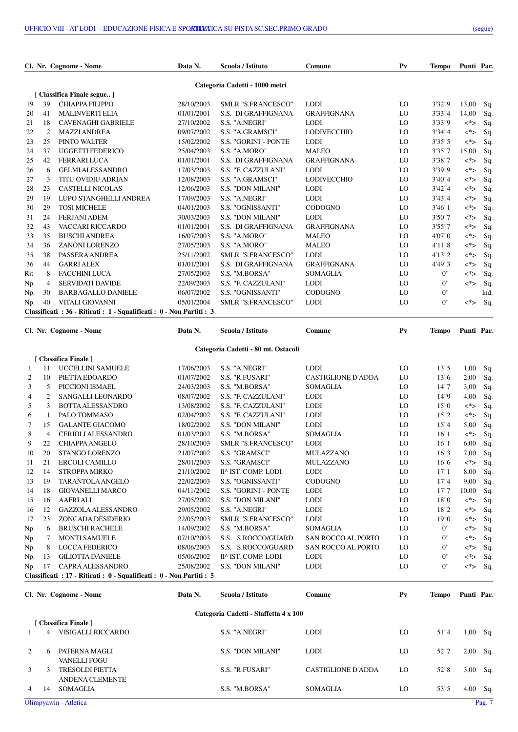|     |                | Cl. Nr. Cognome - Nome                                            | Data N.    | Scuola / Istituto              | Comune             | P <sub>V</sub> | <b>Tempo</b> | Punti Par. |      |
|-----|----------------|-------------------------------------------------------------------|------------|--------------------------------|--------------------|----------------|--------------|------------|------|
|     |                |                                                                   |            | Categoria Cadetti - 1000 metri |                    |                |              |            |      |
|     |                | [ Classifica Finale segue]                                        |            |                                |                    |                |              |            |      |
| 19  | 39             | CHIAPPA FILIPPO                                                   | 28/10/2003 | <b>SMLR "S.FRANCESCO"</b>      | <b>LODI</b>        | LO             | 3'32"9       | 13,00      | Sq.  |
| 20  | 41             | <b>MALINVERTI ELIA</b>                                            | 01/01/2001 | S.S. DI GRAFFIGNANA            | <b>GRAFFIGNANA</b> | LO             | 3'33"4       | 14,00      | Sq.  |
| 21  | 18             | <b>CAVENAGHI GABRIELE</b>                                         | 27/10/2002 | S.S. "A.NEGRI"                 | <b>LODI</b>        | LO             | 3'33"9       | $\lt^*$    | Sq.  |
| 22  | $\overline{c}$ | <b>MAZZI ANDREA</b>                                               | 09/07/2002 | S.S. "A.GRAMSCI"               | <b>LODIVECCHIO</b> | LO             | 3'34"4       | $\lt^*$    | Sq.  |
| 23  | 25             | PINTO WALTER                                                      | 15/02/2002 | S.S. "GORINI"- PONTE           | <b>LODI</b>        | LO             | 3'35"5       | $\lt^*$    | Sq.  |
| 24  | 37             | <b>UGGETTI FEDERICO</b>                                           | 25/04/2003 | S.S. "A.MORO"                  | <b>MALEO</b>       | LO             | 3'35"7       | 15,00      | Sq.  |
| 25  | 42             | <b>FERRARI LUCA</b>                                               | 01/01/2001 | S.S. DI GRAFFIGNANA            | <b>GRAFFIGNANA</b> | LO             | 3'38"7       | $\lt^*$    | Sq.  |
| 26  | 6              | <b>GELMI ALESSANDRO</b>                                           | 17/03/2003 | S.S. "F. CAZZULANI"            | <b>LODI</b>        | LO             | 3'39"9       | $<^*>$     | Sq.  |
| 27  | 3              | <b>TITU OVIDIU ADRIAN</b>                                         | 12/08/2003 | S.S. "A.GRAMSCI"               | <b>LODIVECCHIO</b> | LO             | 3'40"4       | $\lt^*$    | Sq.  |
| 28  | 23             | <b>CASTELLI NICOLAS</b>                                           | 12/06/2003 | <b>S.S. "DON MILANI"</b>       | <b>LODI</b>        | LO             | 3'42"4       | <*>        | Sq.  |
| 29  | 19             | LUPO STANGHELLI ANDREA                                            | 17/09/2003 | S.S. "A.NEGRI"                 | <b>LODI</b>        | LO             | 3'43"4       | $<^*>$     | Sq.  |
| 30  | 29             | <b>TOSI MICHELE</b>                                               | 04/01/2003 | <b>S.S. "OGNISSANTI"</b>       | <b>CODOGNO</b>     | LO             | 3'46"1       | $\lt^*$    | Sq.  |
| 31  | 24             | <b>FERJANI ADEM</b>                                               | 30/03/2003 | S.S. "DON MILANI"              | <b>LODI</b>        | LO             | 3'50"7       | $\lt^*$    | Sq.  |
| 32  | 43             | VACCARI RICCARDO                                                  | 01/01/2001 | S.S. DI GRAFFIGNANA            | <b>GRAFFIGNANA</b> | LO             | 3'55"7       | <*>        | Sq.  |
| 33  | 35             | <b>BUSCHI ANDREA</b>                                              | 16/07/2003 | S.S. "A.MORO"                  | <b>MALEO</b>       | LO             | 4'07"0       | $<^*>$     | Sq.  |
| 34  | 36             | <b>ZANONI LORENZO</b>                                             | 27/05/2003 | S.S. "A.MORO"                  | <b>MALEO</b>       | LO             | 4'11"8       | $\lt^*$    | Sq.  |
| 35  | 38             | PASSERA ANDREA                                                    | 25/11/2002 | <b>SMLR "S.FRANCESCO"</b>      | <b>LODI</b>        | LO             | 4'13"2       | $\lt^*$    | Sq.  |
| 36  | 44             | <b>GARRI ALEX</b>                                                 | 01/01/2001 | S.S. DI GRAFFIGNANA            | <b>GRAFFIGNANA</b> | LO             | 4'49"3       | $\lt^*$    | Sq.  |
| Rit | 8              | <b>FACCHINI LUCA</b>                                              | 27/05/2003 | S.S. "M.BORSA"                 | <b>SOMAGLIA</b>    | LO             | 0"           | <*>        | Sq.  |
| Np. | 4              | <b>SERVIDATI DAVIDE</b>                                           | 22/09/2003 | S.S. "F. CAZZULANI"            | <b>LODI</b>        | LO             | 0"           | $\lt^*$    | Sq.  |
| Np. | 30             | <b>BARBAGALLO DANIELE</b>                                         | 06/07/2002 | S.S. "OGNISSANTI"              | <b>CODOGNO</b>     | LO             | 0"           |            | Ind. |
| Np. | 40             | <b>VITALI GIOVANNI</b>                                            | 05/01/2004 | SMLR "S.FRANCESCO"             | <b>LODI</b>        | LO             | 0"           | $\lt^*$    | Sq.  |
|     |                | Classificati: 36 - Ritirati: 1 - Squalificati: 0 - Non Partiti: 3 |            |                                |                    |                |              |            |      |
|     |                |                                                                   |            |                                |                    |                |              |            |      |

|     | Cl. Nr. Cognome - Nome |                                                                   | Data N.    | Scuola / Istituto                   | Comune                    | $P_{V}$ | <b>Tempo</b> | Punti Par. |     |
|-----|------------------------|-------------------------------------------------------------------|------------|-------------------------------------|---------------------------|---------|--------------|------------|-----|
|     |                        |                                                                   |            | Categoria Cadetti - 80 mt. Ostacoli |                           |         |              |            |     |
|     |                        | [ Classifica Finale ]                                             |            |                                     |                           |         |              |            |     |
|     | 11                     | UCCELLINI SAMUELE                                                 | 17/06/2003 | S.S. "A.NEGRI"                      | <b>LODI</b>               | LO      | 13"5         | 1,00       | Sq. |
| 2   | 10                     | PIETTA EDOARDO                                                    | 01/07/2002 | S.S. "R.FUSARI"                     | <b>CASTIGLIONE D'ADDA</b> | LO      | 13"6         | 2,00       | Sq. |
| 3   | 5                      | PICCIONI ISMAEL                                                   | 24/03/2003 | S.S. "M.BORSA"                      | <b>SOMAGLIA</b>           | LO      | 14"7         | 3,00       | Sq. |
| 4   | 2                      | SANGALLI LEONARDO                                                 | 08/07/2002 | S.S. "F. CAZZULANI"                 | <b>LODI</b>               | LO      | 14"9         | 4,00       | Sq. |
| 5   | 3                      | <b>BOTTA ALESSANDRO</b>                                           | 13/08/2002 | S.S. "F. CAZZULANI"                 | <b>LODI</b>               | LO      | 15"0         | $\lt^*$    | Sq. |
| 6   |                        | PALO TOMMASO                                                      | 02/04/2002 | S.S. "F. CAZZULANI"                 | <b>LODI</b>               | LO      | 15"2         | $\lt^*$    | Sq. |
| 7   | 15                     | <b>GALANTE GIACOMO</b>                                            | 18/02/2002 | <b>S.S. "DON MILANI"</b>            | <b>LODI</b>               | LO      | 15"4         | 5,00       | Sq. |
| 8   | 4                      | <b>CERIOLI ALESSANDRO</b>                                         | 01/03/2002 | S.S. "M.BORSA"                      | <b>SOMAGLIA</b>           | LO      | 16"1         | $\lt^*$    | Sq. |
| 9   | 22                     | <b>CHIAPPA ANGELO</b>                                             | 28/10/2003 | <b>SMLR "S.FRANCESCO"</b>           | <b>LODI</b>               | LO      | 16"1         | 6,00       | Sq. |
| 10  | 20                     | <b>STANGO LORENZO</b>                                             | 21/07/2002 | S.S. "GRAMSCI"                      | <b>MULAZZANO</b>          | LO      | 16"3         | 7,00       | Sq. |
| 11  | 21                     | <b>ERCOLI CAMILLO</b>                                             | 28/01/2003 | S.S. "GRAMSCI"                      | <b>MULAZZANO</b>          | LO      | 16"6         | $\lt^*$    | Sq. |
| 12  | 14                     | <b>STROPPA MIRKO</b>                                              | 21/10/2002 | II^ IST. COMP. LODI                 | <b>LODI</b>               | LO      | 17"1         | 8,00       | Sq. |
| 13  | 19                     | <b>TARANTOLA ANGELO</b>                                           | 22/02/2003 | <b>S.S. "OGNISSANTI"</b>            | <b>CODOGNO</b>            | LO      | 17"4         | 9,00       | Sq. |
| 14  | 18                     | <b>GIOVANELLI MARCO</b>                                           | 04/11/2002 | <b>S.S. "GORINI"- PONTE</b>         | <b>LODI</b>               | LO      | 17"7         | 10,00      | Sq. |
| 15  | 16                     | <b>AAFRI ALI</b>                                                  | 27/05/2002 | <b>S.S. "DON MILANI"</b>            | <b>LODI</b>               | LO      | 18"0         | $\lt^*$    | Sq. |
| 16  | 12                     | <b>GAZZOLA ALESSANDRO</b>                                         | 29/05/2002 | S.S. "A.NEGRI"                      | <b>LODI</b>               | LO      | 18"2         | $\lt^*$    | Sq. |
| 17  | 23                     | ZONCADA DESIDERIO                                                 | 22/05/2003 | SMLR "S.FRANCESCO"                  | <b>LODI</b>               | LO      | 19"0         | <*>        | Sq  |
| Np. | 6                      | <b>BRUSCHI RACHELE</b>                                            | 14/09/2002 | S.S. "M.BORSA"                      | <b>SOMAGLIA</b>           | LO      | 0"           | $\lt^*$    | Sq  |
| Np. |                        | <b>MONTI SAMUELE</b>                                              | 07/10/2003 | S.S. S.ROCCO/GUARD                  | <b>SAN ROCCO AL PORTO</b> | LO      | 0"           | $\lt^*$    | Sq. |
| Np. | 8                      | <b>LOCCA FEDERICO</b>                                             | 08/06/2003 | S.S. S.ROCCO/GUARD                  | <b>SAN ROCCO AL PORTO</b> | LO      | 0"           | $\lt^*$    | Sq. |
| Np. | 13                     | <b>GILIOTTA DANIELE</b>                                           | 05/06/2002 | II^ IST. COMP. LODI                 | <b>LODI</b>               | LO      | 0"           | $\lt^*$    | Sq. |
| Np. | 17                     | CAPRA ALESSANDRO                                                  | 25/08/2002 | S.S. "DON MILANI"                   | <b>LODI</b>               | LO      | 0"           | $\lt^*$    | Sq. |
|     |                        | Classificati: 17 - Ritirati: 0 - Squalificati: 0 - Non Partiti: 5 |            |                                     |                           |         |              |            |     |

|                |               | Cl. Nr. Cognome - Nome                    | Data N. | Scuola / Istituto                     | Comune                    | P <sub>V</sub> | <b>Tempo</b> | Punti Par. |          |
|----------------|---------------|-------------------------------------------|---------|---------------------------------------|---------------------------|----------------|--------------|------------|----------|
|                |               |                                           |         | Categoria Cadetti - Staffetta 4 x 100 |                           |                |              |            |          |
|                |               | [ Classifica Finale ]                     |         |                                       |                           |                |              |            |          |
|                | 4             | VISIGALLI RICCARDO                        |         | S.S. "A.NEGRI"                        | <b>LODI</b>               | LO             | 51"4         | 1,00       | Sq.      |
| $2^{\circ}$    | 6             | PATERNA MAGLI<br><b>VANELLI FOGU</b>      |         | <b>S.S. "DON MILANI"</b>              | <b>LODI</b>               | LO             | 52"7         | 2,00       | Sq.      |
| $\mathcal{F}$  | $\mathcal{L}$ | TRESOLDI PIETTA<br><b>ANDENA CLEMENTE</b> |         | S.S. "R.FUSARI"                       | <b>CASTIGLIONE D'ADDA</b> | LO             | 52"8         | 3,00       | Sq.      |
| $\overline{4}$ | 14            | <b>SOMAGLIA</b>                           |         | S.S. "M.BORSA"                        | <b>SOMAGLIA</b>           | LO             | 53"5         | 4,00       | Sq.      |
|                |               | Olimpyawin - Atletica                     |         |                                       |                           |                |              |            | Pag. $7$ |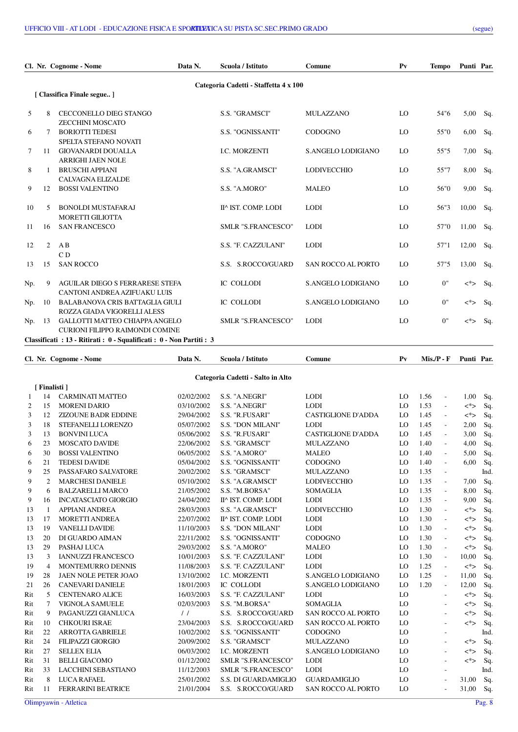|     |    | Cl. Nr. Cognome - Nome                                                   | Data N. | Scuola / Istituto                     | Comune                    | P <sub>V</sub> | <b>Tempo</b> | Punti Par. |     |
|-----|----|--------------------------------------------------------------------------|---------|---------------------------------------|---------------------------|----------------|--------------|------------|-----|
|     |    | [ Classifica Finale segue ]                                              |         | Categoria Cadetti - Staffetta 4 x 100 |                           |                |              |            |     |
| 5   | 8  | <b>CECCONELLO DIEG STANGO</b><br>ZECCHINI MOSCATO                        |         | S.S. "GRAMSCI"                        | <b>MULAZZANO</b>          | LO             | 54"6         | 5,00       | Sq. |
| 6   | 7  | <b>BORIOTTI TEDESI</b><br>SPELTA STEFANO NOVATI                          |         | S.S. "OGNISSANTI"                     | <b>CODOGNO</b>            | LO             | 55"0         | 6,00       | Sq. |
| 7   | 11 | <b>GIOVANARDI DOUALLA</b><br><b>ARRIGHI JAEN NOLE</b>                    |         | <b>I.C. MORZENTI</b>                  | S. ANGELO LODIGIANO       | LO             | 55"5         | 7,00       | Sq. |
| 8   |    | <b>BRUSCHI APPIANI</b><br><b>CALVAGNA ELIZALDE</b>                       |         | S.S. "A.GRAMSCI"                      | <b>LODIVECCHIO</b>        | LO             | 55"7         | 8,00       | Sq. |
| 9   | 12 | <b>BOSSI VALENTINO</b>                                                   |         | S.S. "A.MORO"                         | <b>MALEO</b>              | LO             | 56"0         | 9.00       | Sq. |
| 10  | 5  | <b>BONOLDI MUSTAFARAJ</b><br><b>MORETTI GILIOTTA</b>                     |         | II^ IST. COMP. LODI                   | <b>LODI</b>               | LO             | 56"3         | 10,00      | Sq. |
| 11  | 16 | <b>SAN FRANCESCO</b>                                                     |         | SMLR "S.FRANCESCO"                    | <b>LODI</b>               | LO             | 57"0         | 11,00      | Sq. |
| 12  | 2  | A B<br>C <sub>D</sub>                                                    |         | S.S. "F. CAZZULANI"                   | <b>LODI</b>               | LO             | 57"1         | 12,00      | Sq. |
| 13  | 15 | <b>SAN ROCCO</b>                                                         |         | S.S. S.ROCCO/GUARD                    | <b>SAN ROCCO AL PORTO</b> | LO             | 57"5         | 13,00      | Sq. |
| Np. | 9  | <b>AGUILAR DIEGO S FERRARESE STEFA</b><br>CANTONI ANDREA AZIFUAKU LUIS   |         | IC COLLODI                            | S.ANGELO LODIGIANO        | LO             | 0"           | <*>        | Sq. |
| Np. | 10 | <b>BALABANOVA CRIS BATTAGLIA GIULI</b><br>ROZZA GIADA VIGORELLI ALESS    |         | <b>IC COLLODI</b>                     | S.ANGELO LODIGIANO        | LO             | 0"           | $\lt^*$    | Sq. |
| Np. | 13 | GALLOTTI MATTEO CHIAPPA ANGELO<br><b>CURIONI FILIPPO RAIMONDI COMINE</b> |         | <b>SMLR "S.FRANCESCO"</b>             | <b>LODI</b>               | LO             | 0"           | <*>        | Sq. |
|     |    | Classificati : 13 - Ritirati : 0 - Squalificati : 0 - Non Partiti : 3    |         |                                       |                           |                |              |            |     |

|     | Cl. Nr. Cognome - Nome |                             | Scuola / Istituto<br>Data N.<br>Comune |                                   |                           | $P_{V}$ | $Mis.P - F$ |                          | Punti Par. |      |
|-----|------------------------|-----------------------------|----------------------------------------|-----------------------------------|---------------------------|---------|-------------|--------------------------|------------|------|
|     |                        |                             |                                        | Categoria Cadetti - Salto in Alto |                           |         |             |                          |            |      |
|     | [Finalisti]            |                             |                                        |                                   |                           |         |             |                          |            |      |
| 1   | 14                     | <b>CARMINATI MATTEO</b>     | 02/02/2002                             | S.S. "A.NEGRI"                    | <b>LODI</b>               | LO      | 1.56        | ÷,                       | 1,00       | Sq.  |
| 2   | 15                     | <b>MORENI DARIO</b>         | 03/10/2002                             | S.S. "A.NEGRI"                    | <b>LODI</b>               | LO      | 1.53        | ÷,                       | <*>        | Sq.  |
| 3   | 12                     | <b>ZIZOUNE BADR EDDINE</b>  | 29/04/2002                             | S.S. "R.FUSARI"                   | <b>CASTIGLIONE D'ADDA</b> | LO      | 1.45        | ÷,                       | <*>        | Sq.  |
| 3   | 18                     | STEFANELLI LORENZO          | 05/07/2002                             | S.S. "DON MILANI"                 | <b>LODI</b>               | LO      | 1.45        | ÷,                       | 2,00       | Sq.  |
| 3   | 13                     | <b>BONVINI LUCA</b>         | 05/06/2002                             | S.S. "R.FUSARI"                   | <b>CASTIGLIONE D'ADDA</b> | LO      | 1.45        | ÷,                       | 3,00       | Sq.  |
| 6   | 23                     | <b>MOSCATO DAVIDE</b>       | 22/06/2002                             | S.S. "GRAMSCI"                    | <b>MULAZZANO</b>          | LO      | 1.40        | L.                       | 4,00       | Sq.  |
| 6   | 30                     | <b>BOSSI VALENTINO</b>      | 06/05/2002                             | S.S. "A.MORO"                     | <b>MALEO</b>              | LO      | 1.40        | ÷,                       | 5,00       | Sq.  |
| 6   | 21                     | <b>TEDESI DAVIDE</b>        | 05/04/2002                             | S.S. "OGNISSANTI"                 | CODOGNO                   | LO      | 1.40        | L.                       | 6,00       | Sq.  |
| 9   | 25                     | PASSAFARO SALVATORE         | 20/02/2002                             | S.S. "GRAMSCI"                    | MULAZZANO                 | LO      | 1.35        | $\overline{a}$           |            | Ind. |
| 9   | $\overline{2}$         | <b>MARCHESI DANIELE</b>     | 05/10/2002                             | S.S. "A.GRAMSCI"                  | <b>LODIVECCHIO</b>        | LO      | 1.35        | ÷,                       | 7,00       | Sq.  |
| 9   | 6                      | <b>BALZARELLI MARCO</b>     | 21/05/2002                             | S.S. "M.BORSA"                    | <b>SOMAGLIA</b>           | LO      | 1.35        | $\overline{a}$           | 8,00       | Sq.  |
| 9   | 16                     | <b>INCATASCIATO GIORGIO</b> | 24/04/2002                             | II^ IST. COMP. LODI               | <b>LODI</b>               | LO      | 1.35        | ÷,                       | 9,00       | Sq.  |
| 13  | 1                      | <b>APPIANI ANDREA</b>       | 28/03/2003                             | S.S. "A.GRAMSCI"                  | <b>LODIVECCHIO</b>        | LO      | 1.30        | $\overline{a}$           | <*>        | Sq.  |
| 13  | 17                     | <b>MORETTI ANDREA</b>       | 22/07/2002                             | II^ IST. COMP. LODI               | <b>LODI</b>               | LO      | 1.30        | $\overline{a}$           | <*>        | Sq.  |
| 13  | 19                     | <b>VANELLI DAVIDE</b>       | 11/10/2003                             | S.S. "DON MILANI"                 | <b>LODI</b>               | LO      | 1.30        | $\overline{a}$           | <*>        | Sq.  |
| 13  | 20                     | DI GUARDO AIMAN             | 22/11/2002                             | S.S. "OGNISSANTI"                 | CODOGNO                   | LO      | 1.30        | $\overline{a}$           | <*>        | Sq.  |
| 13  | 29                     | PASHAJ LUCA                 | 29/03/2002                             | S.S. "A.MORO"                     | <b>MALEO</b>              | LO      | 1.30        | $\overline{\phantom{a}}$ | $\lt^*$    | Sq.  |
| 13  | 3                      | <b>IANNUZZI FRANCESCO</b>   | 10/01/2003                             | S.S. "F. CAZZULANI"               | <b>LODI</b>               | LO      | 1.30        | $\overline{\phantom{a}}$ | 10,00      | Sq.  |
| 19  | $\overline{4}$         | MONTEMURRO DENNIS           | 11/08/2003                             | S.S. "F. CAZZULANI"               | <b>LODI</b>               | LO      | 1.25        | $\overline{\phantom{a}}$ | $\lt^*$    | Sq.  |
| 19  | 28                     | <b>JAEN NOLE PETER JOAO</b> | 13/10/2002                             | <b>I.C. MORZENTI</b>              | S.ANGELO LODIGIANO        | LO      | 1.25        | $\bar{\phantom{a}}$      | 11,00      | Sq.  |
| 21  | 26                     | <b>CANEVARI DANIELE</b>     | 18/01/2003                             | <b>IC COLLODI</b>                 | S.ANGELO LODIGIANO        | LO      | 1.20        | $\overline{\phantom{a}}$ | 12,00      | Sq.  |
| Rit | 5                      | <b>CENTENARO ALICE</b>      | 16/03/2003                             | S.S. "F. CAZZULANI"               | <b>LODI</b>               | LO      |             | $\overline{a}$           | $\lt^*$    | Sq.  |
| Rit | 7                      | VIGNOLA SAMUELE             | 02/03/2003                             | S.S. "M.BORSA"                    | <b>SOMAGLIA</b>           | LO      |             |                          | $\lt^*$    | Sq.  |
| Rit | 9                      | PAGANUZZI GIANLUCA          | $\frac{1}{2}$                          | S.S. S.ROCCO/GUARD                | <b>SAN ROCCO AL PORTO</b> | LO      |             | $\overline{\phantom{a}}$ | <*>        | Sq.  |
| Rit | 10                     | <b>CHKOURI ISRAE</b>        | 23/04/2003                             | S.S. S.ROCCO/GUARD                | <b>SAN ROCCO AL PORTO</b> | LO      |             | $\overline{\phantom{a}}$ | <*>        | Sq.  |
| Rit | 22                     | <b>ARROTTA GABRIELE</b>     | 10/02/2002                             | S.S. "OGNISSANTI"                 | CODOGNO                   | LO      |             | $\overline{\phantom{a}}$ |            | Ind. |
| Rit | 24                     | <b>FILIPAZZI GIORGIO</b>    | 20/09/2002                             | S.S. "GRAMSCI"                    | <b>MULAZZANO</b>          | LO      |             | $\overline{a}$           | <*>        | Sq.  |
| Rit | 27                     | <b>SELLEX ELIA</b>          | 06/03/2002                             | I.C. MORZENTI                     | S.ANGELO LODIGIANO        | LO      |             | $\overline{\phantom{a}}$ | <*>        | Sq.  |
| Rit | 31                     | <b>BELLI GIACOMO</b>        | 01/12/2002                             | SMLR "S.FRANCESCO"                | <b>LODI</b>               | LO      |             | $\overline{\phantom{a}}$ | <*>        | Sq.  |
| Rit | 33                     | <b>LACCHINI SEBASTIANO</b>  | 11/12/2003                             | SMLR "S.FRANCESCO"                | <b>LODI</b>               | LO      |             | $\overline{\phantom{a}}$ |            | Ind. |
| Rit | 8                      | <b>LUCA RAFAEL</b>          | 25/01/2002                             | S.S. DI GUARDAMIGLIO              | <b>GUARDAMIGLIO</b>       | LO      |             | $\overline{a}$           | 31,00      | Sq.  |
| Rit | 11                     | <b>FERRARINI BEATRICE</b>   | 21/01/2004                             | S.S. S.ROCCO/GUARD                | <b>SAN ROCCO AL PORTO</b> | LO      |             | $\sim$                   | 31,00      | Sq.  |
|     |                        |                             |                                        |                                   |                           |         |             |                          |            |      |

Olimpyawin - Atletica Pag. 8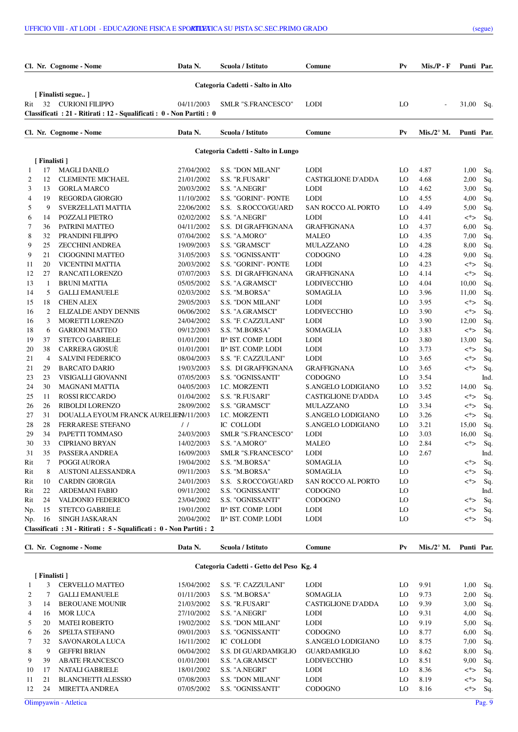|     | Cl. Nr. Cognome - Nome |                                                                        | Data N.<br>Scuola / Istituto<br>Comune |                                    |                           | $P_{V}$ | $Mis.P - F$                   | Punti Par. |      |
|-----|------------------------|------------------------------------------------------------------------|----------------------------------------|------------------------------------|---------------------------|---------|-------------------------------|------------|------|
|     |                        |                                                                        |                                        | Categoria Cadetti - Salto in Alto  |                           |         |                               |            |      |
|     |                        | [ Finalisti segue ]                                                    |                                        |                                    |                           |         |                               |            |      |
| Rit |                        | 32 CURIONI FILIPPO                                                     | 04/11/2003                             | <b>SMLR "S.FRANCESCO"</b>          | <b>LODI</b>               | LO      |                               | 31,00      | Sq.  |
|     |                        | Classificati : 21 - Ritirati : 12 - Squalificati : 0 - Non Partiti : 0 |                                        |                                    |                           |         |                               |            |      |
|     |                        | Cl. Nr. Cognome - Nome                                                 | Data N.                                | Scuola / Istituto                  | Comune                    | $P_{V}$ | Mis./2 $\mathrm{^{\circ}}$ M. | Punti Par. |      |
|     |                        |                                                                        |                                        |                                    |                           |         |                               |            |      |
|     | [Finalisti]            |                                                                        |                                        | Categoria Cadetti - Salto in Lungo |                           |         |                               |            |      |
| 1   | 17                     | <b>MAGLI DANILO</b>                                                    | 27/04/2002                             | <b>S.S. "DON MILANI"</b>           | <b>LODI</b>               | LO      | 4.87                          | 1,00       | Sq.  |
| 2   | 12                     | <b>CLEMENTE MICHAEL</b>                                                | 21/01/2002                             | S.S. "R.FUSARI"                    | <b>CASTIGLIONE D'ADDA</b> | LO      | 4.68                          | 2,00       | Sq.  |
| 3   | 13                     | <b>GORLA MARCO</b>                                                     | 20/03/2002                             | S.S. "A.NEGRI"                     | <b>LODI</b>               | LO      | 4.62                          | 3,00       | Sq.  |
| 4   | 19                     | <b>REGORDA GIORGIO</b>                                                 | 11/10/2002                             | S.S. "GORINI"- PONTE               | <b>LODI</b>               | LO      | 4.55                          | 4,00       | Sq.  |
| 5   | 9                      | SVERZELLATI MATTIA                                                     | 22/06/2002                             | S.S. S.ROCCO/GUARD                 | SAN ROCCO AL PORTO        | LO      | 4.49                          | 5,00       | Sq.  |
| 6   | 14                     | POZZALI PIETRO                                                         | 02/02/2002                             | S.S. "A.NEGRI"                     | <b>LODI</b>               | LO      | 4.41                          | <*>        | Sq.  |
| 7   | 36                     | PATRINI MATTEO                                                         | 04/11/2002                             | S.S. DI GRAFFIGNANA                | <b>GRAFFIGNANA</b>        | LO      | 4.37                          | 6,00       | Sq.  |
| 8   | 32                     | PRANDINI FILIPPO                                                       | 07/04/2002                             | S.S. "A.MORO"                      | <b>MALEO</b>              | LO      | 4.35                          | 7,00       | Sq.  |
| 9   | 25                     | <b>ZECCHINI ANDREA</b>                                                 | 19/09/2003                             | S.S. "GRAMSCI"                     | MULAZZANO                 | LO      | 4.28                          | 8,00       | Sq.  |
| 9   | 21                     | <b>CIGOGNINI MATTEO</b>                                                | 31/05/2003                             | S.S. "OGNISSANTI"                  | CODOGNO                   | LO      | 4.28                          | 9,00       | Sq.  |
| 11  | 20                     | VICENTINI MATTIA                                                       | 20/03/2002                             | S.S. "GORINI"- PONTE               | <b>LODI</b>               | LO      | 4.23                          | <*>        | Sq.  |
| 12  | 27                     | <b>RANCATI LORENZO</b>                                                 | 07/07/2003                             | S.S. DI GRAFFIGNANA                | <b>GRAFFIGNANA</b>        | LO      | 4.14                          | <*>        | Sq.  |
| 13  | 1                      | <b>BRUNI MATTIA</b>                                                    | 05/05/2002                             | S.S. "A.GRAMSCI"                   | LODIVECCHIO               | LO      | 4.04                          | 10,00      | Sq.  |
| 14  | 5                      | <b>GALLI EMANUELE</b>                                                  | 02/03/2002                             | S.S. "M.BORSA"                     | <b>SOMAGLIA</b>           | LO      | 3.96                          | 11,00      | Sq.  |
| 15  | 18                     | <b>CHEN ALEX</b>                                                       | 29/05/2003                             | <b>S.S. "DON MILANI"</b>           | <b>LODI</b>               | LO      | 3.95                          | <*>        | Sq.  |
| 16  | 2                      | <b>ELIZALDE ANDY DENNIS</b>                                            | 06/06/2002                             | S.S. "A.GRAMSCI"                   | LODIVECCHIO               | LO      | 3.90                          | <*>        | Sq.  |
| 16  | 3                      | <b>MORETTI LORENZO</b>                                                 | 24/04/2002                             | S.S. "F. CAZZULANI"                | <b>LODI</b>               | LO      | 3.90                          | 12,00      | Sq.  |
| 18  | 6                      | <b>GARIONI MATTEO</b>                                                  | 09/12/2003                             | S.S. "M.BORSA"                     | <b>SOMAGLIA</b>           | LO      | 3.83                          | <*>        | Sq.  |
| 19  | 37                     | <b>STETCO GABRIELE</b>                                                 | 01/01/2001                             | II^ IST. COMP. LODI                | <b>LODI</b>               | LO      | 3.80                          | 13,00      | Sq.  |
| 20  | 38                     | <b>CARRERA GIOSUÈ</b>                                                  | 01/01/2001                             | II^ IST. COMP. LODI                | <b>LODI</b>               | LO      | 3.73                          | <*>        | Sq.  |
| 21  | 4                      | <b>SALVINI FEDERICO</b>                                                | 08/04/2003                             | S.S. "F. CAZZULANI"                | <b>LODI</b>               | LO      | 3.65                          | <*>        | Sq.  |
| 21  | 29                     | <b>BARCATO DARIO</b>                                                   | 19/03/2003                             | S.S. DI GRAFFIGNANA                | <b>GRAFFIGNANA</b>        | LO      | 3.65                          | <*>        | Sq.  |
| 23  | 23                     | VISIGALLI GIOVANNI                                                     | 07/05/2003                             | S.S. "OGNISSANTI"                  | <b>CODOGNO</b>            | LO      | 3.54                          |            | Ind. |
| 24  | 30                     | <b>MAGNANI MATTIA</b>                                                  | 04/05/2003                             | <b>I.C. MORZENTI</b>               | S.ANGELO LODIGIANO        | LO      | 3.52                          | 14,00      | Sq.  |
| 25  | 11                     | <b>ROSSI RICCARDO</b>                                                  | 01/04/2002                             | S.S. "R.FUSARI"                    | <b>CASTIGLIONE D'ADDA</b> | LO      | 3.45                          | <*>        | Sq.  |
| 26  | 26                     | RIBOLDI LORENZO                                                        | 28/09/2002                             | S.S. "GRAMSCI"                     | <b>MULAZZANO</b>          | LO      | 3.34                          | <*>        | Sq.  |
| 27  | 31                     | DOUALLA EYOUM FRANCK AURELIEN / 11/2003                                |                                        | <b>I.C. MORZENTI</b>               | S.ANGELO LODIGIANO        | LO      | 3.26                          | <*>        | Sq.  |
| 28  | 28                     | <b>FERRARESE STEFANO</b>                                               | $\frac{1}{2}$                          | IC COLLODI                         | S.ANGELO LODIGIANO        | LO      | 3.21                          | 15,00      | Sq.  |
| 29  | 34                     | PAPETTI TOMMASO                                                        | 24/03/2003                             | SMLR "S.FRANCESCO"                 | <b>LODI</b>               | LO      | 3.03                          | 16,00      | Sq.  |
| 30  | 33                     | <b>CIPRIANO BRYAN</b>                                                  | 14/02/2003                             | S.S. "A.MORO"                      | <b>MALEO</b>              | LO      | 2.84                          | <*>        | Sq.  |
| 31  | 35                     | PASSERA ANDREA                                                         | 16/09/2003                             | SMLR "S.FRANCESCO"                 | <b>LODI</b>               | LO      | 2.67                          |            | Ind. |
| Rit | 7                      | POGGI AURORA                                                           | 19/04/2002                             | S.S. "M.BORSA"                     | <b>SOMAGLIA</b>           | LO      |                               | <*>        | Sq.  |
| Rit | 8                      | <b>AUSTONI ALESSANDRA</b>                                              | 09/11/2003                             | S.S. "M.BORSA"                     | SOMAGLIA                  | LO      |                               | <*>        | Sq.  |
| Rit | 10                     | <b>CARDIN GIORGIA</b>                                                  | 24/01/2003                             | S.S. S.ROCCO/GUARD                 | SAN ROCCO AL PORTO        | LO      |                               | <*>        | Sq.  |
| Rit | 22                     | ARDEMANI FABIO                                                         | 09/11/2002                             | S.S. "OGNISSANTI"                  | <b>CODOGNO</b>            | LO      |                               |            | Ind. |
| Rit | 24                     | VALDONIO FEDERICO                                                      | 23/04/2002                             | S.S. "OGNISSANTI"                  | <b>CODOGNO</b>            | LO      |                               | <*>        | Sq.  |
| Np. | 15                     | <b>STETCO GABRIELE</b>                                                 | 19/01/2002                             | II^ IST. COMP. LODI                | <b>LODI</b>               | LO      |                               | <*>        | Sq.  |
| Np. | 16                     | SINGH JASKARAN                                                         | 20/04/2002                             | II^ IST. COMP. LODI                | <b>LODI</b>               | LO      |                               | <*>        | Sq.  |
|     |                        | Classificati: 31 - Ritirati: 5 - Squalificati: 0 - Non Partiti: 2      |                                        |                                    |                           |         |                               |            |      |

Cl. Nr. Cognome - Nome Data N. Scuola / Istituto Comune Pv Mis./2° M. Punti Par.

## **Categoria Cadetti - Getto del Peso Kg. 4**

|             | [ Finalisti ] |                           |            |                          |                     |    |      |      |       |
|-------------|---------------|---------------------------|------------|--------------------------|---------------------|----|------|------|-------|
|             | 3             | CERVELLO MATTEO           | 15/04/2002 | S.S. "F. CAZZULANI"      | <b>LODI</b>         | LO | 9.91 | 1,00 | - Sq. |
| 2           |               | <b>GALLI EMANUELE</b>     | 01/11/2003 | S.S. "M.BORSA"           | <b>SOMAGLIA</b>     | LO | 9.73 | 2,00 | Sq.   |
| 3           | 14            | <b>BEROUANE MOUNIR</b>    | 21/03/2002 | S.S. "R.FUSARI"          | CASTIGLIONE D'ADDA  | LO | 9.39 | 3,00 | Sq.   |
| 4           | 16            | <b>MOR LUCA</b>           | 27/10/2002 | S.S. "A.NEGRI"           | <b>LODI</b>         | LO | 9.31 | 4,00 | Sq.   |
| 5           | 20            | <b>MATEI ROBERTO</b>      | 19/02/2002 | <b>S.S. "DON MILANI"</b> | <b>LODI</b>         | LO | 9.19 | 5,00 | -Sq.  |
| 6           | 26            | SPELTA STEFANO            | 09/01/2003 | S.S. "OGNISSANTI"        | <b>CODOGNO</b>      | LO | 8.77 | 6,00 | -Sq.  |
| $7^{\circ}$ | 32            | SAVONAROLA LUCA           | 16/11/2002 | IC COLLODI               | S. ANGELO LODIGIANO | LO | 8.75 | 7,00 | Sq.   |
| 8           | 9             | <b>GEFFRI BRIAN</b>       | 06/04/2002 | S.S. DI GUARDAMIGLIO     | <b>GUARDAMIGLIO</b> | LO | 8.62 | 8,00 | -Sq.  |
| 9           | 39            | <b>ABATE FRANCESCO</b>    | 01/01/2001 | S.S. "A.GRAMSCI"         | <b>LODIVECCHIO</b>  | LO | 8.51 | 9,00 | -Sq.  |
| 10          | 17            | NATALI GABRIELE           | 18/01/2002 | S.S. "A NEGRI"           | <b>LODI</b>         | LO | 8.36 | <*>  | Sq.   |
| 11          | 21            | <b>BLANCHETTI ALESSIO</b> | 07/08/2003 | <b>S.S. "DON MILANI"</b> | <b>LODI</b>         | LO | 8.19 | <*>  | Sq.   |
| 12          | 24            | <b>MIRETTA ANDREA</b>     | 07/05/2002 | S.S. "OGNISSANTI"        | <b>CODOGNO</b>      | LO | 8.16 | <*>  | Sq.   |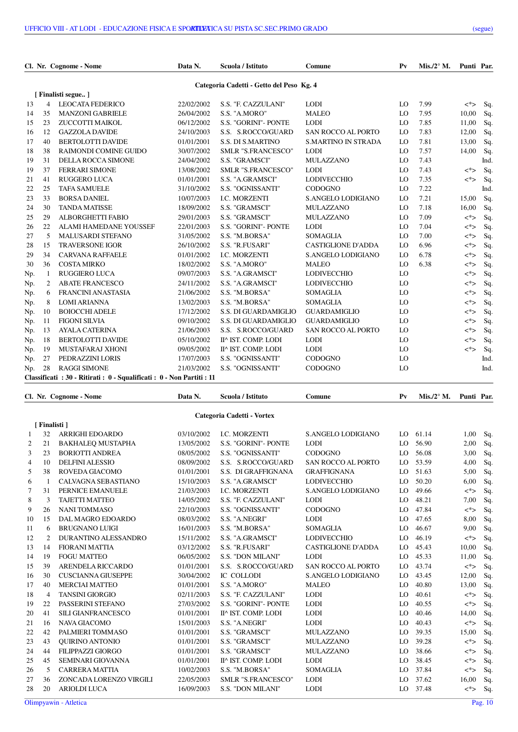|     |    | Cl. Nr. Cognome - Nome                                             | Data N.    | Scuola / Istituto                        | Comune                     | $P_{V}$ | $Mis. /2^{\circ} M.$ | Punti Par. |      |
|-----|----|--------------------------------------------------------------------|------------|------------------------------------------|----------------------------|---------|----------------------|------------|------|
|     |    |                                                                    |            | Categoria Cadetti - Getto del Peso Kg. 4 |                            |         |                      |            |      |
|     |    | [Finalisti segue]                                                  |            |                                          |                            |         |                      |            |      |
| 13  | 4  | <b>LEOCATA FEDERICO</b>                                            | 22/02/2002 | S.S. "F. CAZZULANI"                      | <b>LODI</b>                | LO      | 7.99                 | <*>        | Sq.  |
| 14  | 35 | <b>MANZONI GABRIELE</b>                                            | 26/04/2002 | S.S. "A.MORO"                            | <b>MALEO</b>               | LO      | 7.95                 | 10,00      | Sq.  |
| 15  | 23 | ZUCCOTTI MAIKOL                                                    | 06/12/2002 | S.S. "GORINI"- PONTE                     | <b>LODI</b>                | LO      | 7.85                 | 11,00      | Sq.  |
| 16  | 12 | <b>GAZZOLA DAVIDE</b>                                              | 24/10/2003 | S.S. S.ROCCO/GUARD                       | <b>SAN ROCCO AL PORTO</b>  | LO      | 7.83                 | 12,00      | Sq.  |
| 17  | 40 | <b>BERTOLOTTI DAVIDE</b>                                           | 01/01/2001 | <b>S.S. DI S.MARTINO</b>                 | <b>S.MARTINO IN STRADA</b> | LO      | 7.81                 | 13,00      | Sq.  |
| 18  | 38 | <b>RAIMONDI COMINE GUIDO</b>                                       | 30/07/2002 | SMLR "S.FRANCESCO"                       | <b>LODI</b>                | LO      | 7.57                 | 14,00      | Sq.  |
| 19  | 31 | DELLA ROCCA SIMONE                                                 | 24/04/2002 | S.S. "GRAMSCI"                           | <b>MULAZZANO</b>           | LO      | 7.43                 |            | Ind. |
| 19  | 37 | <b>FERRARI SIMONE</b>                                              | 13/08/2002 | SMLR "S.FRANCESCO"                       | <b>LODI</b>                | LO      | 7.43                 | $\lt^*$    | Sq.  |
| 21  | 41 | <b>RUGGERO LUCA</b>                                                | 01/01/2001 | S.S. "A.GRAMSCI"                         | <b>LODIVECCHIO</b>         | LO      | 7.35                 | $\lt^*$    | Sq.  |
| 22  | 25 | <b>TAFA SAMUELE</b>                                                | 31/10/2002 | S.S. "OGNISSANTI"                        | <b>CODOGNO</b>             | LO      | 7.22                 |            | Ind. |
| 23  | 33 | <b>BORSA DANIEL</b>                                                | 10/07/2003 | I.C. MORZENTI                            | S.ANGELO LODIGIANO         | LO      | 7.21                 | 15,00      | Sq.  |
| 24  | 30 | <b>TANDA MATISSE</b>                                               | 18/09/2002 | S.S. "GRAMSCI"                           | <b>MULAZZANO</b>           | LO      | 7.18                 | 16,00      | Sq.  |
| 25  | 29 | ALBORGHETTI FABIO                                                  | 29/01/2003 | S.S. "GRAMSCI"                           | <b>MULAZZANO</b>           | LO      | 7.09                 | $\lt^*$    | Sq.  |
| 26  | 22 | <b>ALAMI HAMEDANE YOUSSEF</b>                                      | 22/01/2003 | S.S. "GORINI"- PONTE                     | <b>LODI</b>                | LO      | 7.04                 | $\lt^*$    | Sq.  |
| 27  | 5  | <b>MALUSARDI STEFANO</b>                                           | 31/05/2002 | S.S. "M.BORSA"                           | <b>SOMAGLIA</b>            | LO      | 7.00                 | $\lt^*$    | Sq.  |
| 28  | 15 | <b>TRAVERSONE IGOR</b>                                             | 26/10/2002 | S.S. "R.FUSARI"                          | <b>CASTIGLIONE D'ADDA</b>  | LO      | 6.96                 | <*>        | Sq.  |
| 29  | 34 | <b>CARVANA RAFFAELE</b>                                            | 01/01/2002 | I.C. MORZENTI                            | S.ANGELO LODIGIANO         | LO      | 6.78                 | <*>        | Sq.  |
| 30  | 36 | <b>COSTA MIRKO</b>                                                 | 18/02/2002 | S.S. "A.MORO"                            | <b>MALEO</b>               | LO      | 6.38                 | $\lt^*$    | Sq.  |
| Np. | -1 | <b>RUGGIERO LUCA</b>                                               | 09/07/2003 | S.S. "A.GRAMSCI"                         | <b>LODIVECCHIO</b>         | LO      |                      | $\lt^*$    | Sq.  |
| Np. | 2  | <b>ABATE FRANCESCO</b>                                             | 24/11/2002 | S.S. "A.GRAMSCI"                         | <b>LODIVECCHIO</b>         | LO      |                      | $\lt^*$    | Sq.  |
| Np. | 6  | <b>FRANCINI ANASTASIA</b>                                          | 21/06/2002 | S.S. "M.BORSA"                           | <b>SOMAGLIA</b>            | LO      |                      | <*>        | Sq.  |
| Np. | 8  | <b>LOMI ARIANNA</b>                                                | 13/02/2003 | S.S. "M.BORSA"                           | <b>SOMAGLIA</b>            | LO      |                      | $<^*>$     | Sq.  |
| Np. | 10 | <b>BOIOCCHI ADELE</b>                                              | 17/12/2002 | S.S. DI GUARDAMIGLIO                     | <b>GUARDAMIGLIO</b>        | LO      |                      | <*>        | Sq.  |
| Np. | 11 | <b>FIGONI SILVIA</b>                                               | 09/10/2002 | S.S. DI GUARDAMIGLIO                     | <b>GUARDAMIGLIO</b>        | LO      |                      | $\lt^*$    | Sq.  |
| Np. | 13 | <b>AYALA CATERINA</b>                                              | 21/06/2003 | S.S. S.ROCCO/GUARD                       | <b>SAN ROCCO AL PORTO</b>  | LO      |                      | <*>        | Sq.  |
| Np. | 18 | <b>BERTOLOTTI DAVIDE</b>                                           | 05/10/2002 | II^ IST. COMP. LODI                      | <b>LODI</b>                | LO      |                      | $\lt^*$    | Sq.  |
| Np. | 19 | MUSTAFARAJ XHONI                                                   | 09/05/2002 | II^ IST. COMP. LODI                      | <b>LODI</b>                | LO      |                      | $\lt^*$    | Sq.  |
| Np. | 27 | PEDRAZZINI LORIS                                                   | 17/07/2003 | S.S. "OGNISSANTI"                        | <b>CODOGNO</b>             | LO      |                      |            | Ind. |
| Np. | 28 | <b>RAGGI SIMONE</b>                                                | 21/03/2002 | S.S. "OGNISSANTI"                        | <b>CODOGNO</b>             | LO      |                      |            | Ind. |
|     |    | Classificati: 30 - Ritirati: 0 - Squalificati: 0 - Non Partiti: 11 |            |                                          |                            |         |                      |            |      |

|    |             | Cl. Nr. Cognome - Nome    | Data N.    | Scuola / Istituto          | Comune                    | $P_{V}$ | Mis./2 $\mathrm{^{\circ}}$ M. | Punti Par. |     |
|----|-------------|---------------------------|------------|----------------------------|---------------------------|---------|-------------------------------|------------|-----|
|    |             |                           |            | Categoria Cadetti - Vortex |                           |         |                               |            |     |
|    | [Finalisti] |                           |            |                            |                           |         |                               |            |     |
| 1  | 32          | <b>ARRIGHI EDOARDO</b>    | 03/10/2002 | I.C. MORZENTI              | S.ANGELO LODIGIANO        | LO      | 61.14                         | 1,00       | Sq. |
| 2  | 21          | <b>BAKHALEQ MUSTAPHA</b>  | 13/05/2002 | S.S. "GORINI"- PONTE       | <b>LODI</b>               | LO      | 56.90                         | 2,00       | Sq. |
| 3  | 23          | <b>BORIOTTI ANDREA</b>    | 08/05/2002 | S.S. "OGNISSANTI"          | CODOGNO                   | LO      | 56.08                         | 3,00       | Sq. |
| 4  | 10          | <b>DELFINI ALESSIO</b>    | 08/09/2002 | S.S. S.ROCCO/GUARD         | <b>SAN ROCCO AL PORTO</b> | LO      | 53.59                         | 4,00       | Sq. |
| 5  | 38          | ROVEDA GIACOMO            | 01/01/2001 | S.S. DI GRAFFIGNANA        | <b>GRAFFIGNANA</b>        | LO      | 51.63                         | 5,00       | Sq. |
| 6  |             | CALVAGNA SEBASTIANO       | 15/10/2003 | S.S. "A.GRAMSCI"           | <b>LODIVECCHIO</b>        | LO      | 50.20                         | 6,00       | Sq. |
| 7  | 31          | PERNICE EMANUELE          | 21/03/2003 | I.C. MORZENTI              | S.ANGELO LODIGIANO        | LO      | 49.66                         | <*>        | Sq. |
| 8  | 3           | <b>TAJETTI MATTEO</b>     | 14/05/2002 | S.S. "F. CAZZULANI"        | <b>LODI</b>               | LO      | 48.21                         | 7,00       | Sq. |
| 9  | 26          | <b>NANITOMMASO</b>        | 22/10/2003 | S.S. "OGNISSANTI"          | <b>CODOGNO</b>            | LO      | 47.84                         | $\lt^*$    | Sq. |
| 10 | 15          | DAL MAGRO EDOARDO         | 08/03/2002 | S.S. "A.NEGRI"             | <b>LODI</b>               | LO      | 47.65                         | 8,00       | Sq. |
| 11 | 6           | <b>BRUGNANO LUIGI</b>     | 16/01/2003 | S.S. "M.BORSA"             | <b>SOMAGLIA</b>           | LO      | 46.67                         | 9,00       | Sq. |
| 12 | 2           | DURANTINO ALESSANDRO      | 15/11/2002 | S.S. "A.GRAMSCI"           | <b>LODIVECCHIO</b>        | LO      | 46.19                         | $\lt^*$    | Sq. |
| 13 | 14          | <b>FIORANI MATTIA</b>     | 03/12/2002 | S.S. "R.FUSARI"            | <b>CASTIGLIONE D'ADDA</b> | LO      | 45.43                         | 10,00      | Sq. |
| 14 | 19          | <b>FOGU MATTEO</b>        | 06/05/2002 | <b>S.S. "DON MILANI"</b>   | <b>LODI</b>               | LO      | 45.33                         | 11,00      | Sq. |
| 15 | 39          | ARENDELA RICCARDO         | 01/01/2001 | S.S. S.ROCCO/GUARD         | <b>SAN ROCCO AL PORTO</b> | LO      | 43.74                         | $\lt^*$    | Sq. |
| 16 | 30          | <b>CUSCIANNA GIUSEPPE</b> | 30/04/2002 | <b>IC COLLODI</b>          | S.ANGELO LODIGIANO        | LO      | 43.45                         | 12,00      | Sq. |
| 17 | 40          | <b>MERCIAI MATTEO</b>     | 01/01/2001 | S.S. "A.MORO"              | <b>MALEO</b>              | LO      | 40.80                         | 13,00      | Sq. |
| 18 | 4           | <b>TANSINI GIORGIO</b>    | 02/11/2003 | S.S. "F. CAZZULANI"        | <b>LODI</b>               | LO      | 40.61                         | $\lt^*$    | Sq. |
| 19 | 22          | PASSERINI STEFANO         | 27/03/2002 | S.S. "GORINI"- PONTE       | <b>LODI</b>               | LO      | 40.55                         | <*>        | Sq. |
| 20 | 41          | <b>SILI GIANFRANCESCO</b> | 01/01/2001 | II^ IST. COMP. LODI        | <b>LODI</b>               | LO      | 40.46                         | 14,00      | Sq. |
| 21 | 16          | <b>NAVA GIACOMO</b>       | 15/01/2003 | S.S. "A.NEGRI"             | <b>LODI</b>               | LO      | 40.43                         | $\lt^*$    | Sq. |
| 22 | 42          | PALMIERI TOMMASO          | 01/01/2001 | S.S. "GRAMSCI"             | <b>MULAZZANO</b>          | LO      | 39.35                         | 15,00      | Sq. |
| 23 | 43          | QUIRINO ANTONIO           | 01/01/2001 | S.S. "GRAMSCI"             | <b>MULAZZANO</b>          | LO      | 39.28                         | $\lt^*$    | Sq. |
| 24 | 44          | <b>FILIPPAZZI GIORGO</b>  | 01/01/2001 | S.S. "GRAMSCI"             | <b>MULAZZANO</b>          | LO      | 38.66                         | <*>        | Sq. |
| 25 | 45          | SEMINARI GIOVANNA         | 01/01/2001 | II^ IST. COMP. LODI        | <b>LODI</b>               | LO      | 38.45                         | <*>        | Sq. |
| 26 | 5           | <b>CARRERA MATTIA</b>     | 10/02/2003 | S.S. "M.BORSA"             | <b>SOMAGLIA</b>           | LO      | 37.84                         | $\lt^*$    | Sq. |
| 27 | 36          | ZONCADA LORENZO VIRGILI   | 22/05/2003 | SMLR "S.FRANCESCO"         | <b>LODI</b>               | LO      | 37.62                         | 16,00      | Sq. |
| 28 | 20          | <b>ARIOLDI LUCA</b>       | 16/09/2003 | S.S. "DON MILANI"          | <b>LODI</b>               | LO      | 37.48                         | <*>        | Sq. |